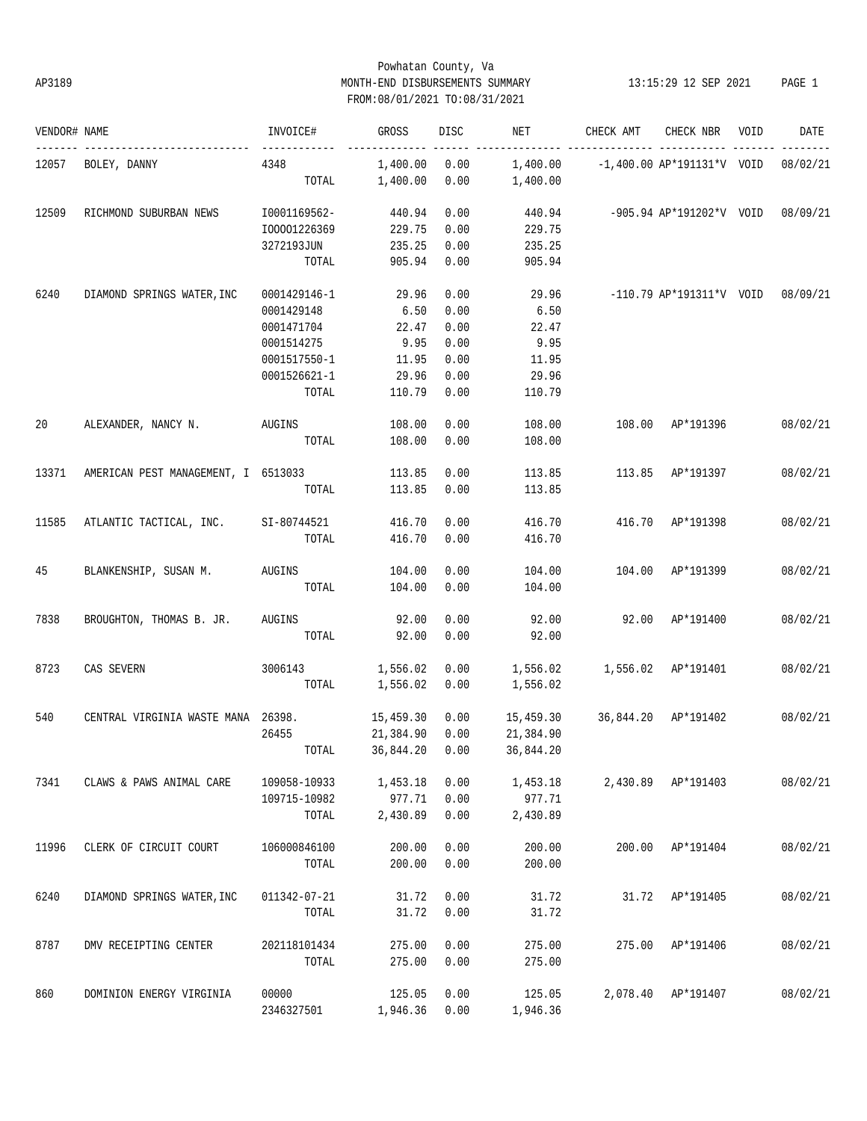# Powhatan County, Va AP3189 MONTH-END DISBURSEMENTS SUMMARY 13:15:29 12 SEP 2021 PAGE 1 FROM:08/01/2021 TO:08/31/2021

| VENDOR# NAME |                                     | INVOICE#     | GROSS     | <b>DISC</b> | NET                             | CHECK AMT                                      | CHECK NBR                           | VOID | DATE     |
|--------------|-------------------------------------|--------------|-----------|-------------|---------------------------------|------------------------------------------------|-------------------------------------|------|----------|
| 12057        | BOLEY, DANNY                        | 4348         | 1,400.00  | 0.00        |                                 | $1,400.00$ -1,400.00 AP*191131*V VOID 08/02/21 |                                     |      |          |
|              |                                     | TOTAL        | 1,400.00  | 0.00        | 1,400.00                        |                                                |                                     |      |          |
| 12509        | RICHMOND SUBURBAN NEWS              | I0001169562- | 440.94    | 0.00        | 440.94                          |                                                | -905.94 AP*191202*V VOID 08/09/21   |      |          |
|              |                                     | I00001226369 | 229.75    | 0.00        | 229.75                          |                                                |                                     |      |          |
|              |                                     | 3272193JUN   | 235.25    | 0.00        | 235.25                          |                                                |                                     |      |          |
|              |                                     | TOTAL        | 905.94    | 0.00        | 905.94                          |                                                |                                     |      |          |
| 6240         | DIAMOND SPRINGS WATER, INC          | 0001429146-1 | 29.96     | 0.00        | 29.96                           |                                                | $-110.79$ AP*191311*V VOID 08/09/21 |      |          |
|              |                                     | 0001429148   | 6.50      | 0.00        | 6.50                            |                                                |                                     |      |          |
|              |                                     | 0001471704   | 22.47     | 0.00        | 22.47                           |                                                |                                     |      |          |
|              |                                     | 0001514275   | 9.95      | 0.00        | 9.95                            |                                                |                                     |      |          |
|              |                                     | 0001517550-1 | 11.95     | 0.00        | 11.95                           |                                                |                                     |      |          |
|              |                                     | 0001526621-1 | 29.96     | 0.00        | 29.96                           |                                                |                                     |      |          |
|              |                                     | TOTAL        | 110.79    | 0.00        | 110.79                          |                                                |                                     |      |          |
| 20           | ALEXANDER, NANCY N.                 | AUGINS       | 108.00    | 0.00        | 108.00                          |                                                | 108.00 AP*191396                    |      | 08/02/21 |
|              |                                     | TOTAL        | 108.00    | 0.00        | 108.00                          |                                                |                                     |      |          |
| 13371        | AMERICAN PEST MANAGEMENT, I 6513033 |              | 113.85    | 0.00        | 113.85                          |                                                | 113.85 AP*191397                    |      | 08/02/21 |
|              |                                     | TOTAL        | 113.85    | 0.00        | 113.85                          |                                                |                                     |      |          |
|              |                                     |              |           |             |                                 |                                                |                                     |      |          |
| 11585        | ATLANTIC TACTICAL, INC.             | SI-80744521  | 416.70    | 0.00        | 416.70                          |                                                | 416.70 AP*191398                    |      | 08/02/21 |
|              |                                     | TOTAL        | 416.70    | 0.00        | 416.70                          |                                                |                                     |      |          |
| 45           | BLANKENSHIP, SUSAN M.               | AUGINS       | 104.00    | 0.00        | 104.00                          |                                                | 104.00 AP*191399                    |      | 08/02/21 |
|              |                                     | TOTAL        | 104.00    | 0.00        | 104.00                          |                                                |                                     |      |          |
| 7838         | BROUGHTON, THOMAS B. JR.            | AUGINS       | 92.00     | 0.00        | 92.00                           |                                                | 92.00 AP*191400                     |      | 08/02/21 |
|              |                                     | TOTAL        | 92.00     | 0.00        | 92.00                           |                                                |                                     |      |          |
| 8723         | CAS SEVERN                          | 3006143      | 1,556.02  | 0.00        | 1,556.02   1,556.02   AP*191401 |                                                |                                     |      | 08/02/21 |
|              |                                     | TOTAL        | 1,556.02  | 0.00        | 1,556.02                        |                                                |                                     |      |          |
| 540          | CENTRAL VIRGINIA WASTE MANA 26398.  |              | 15,459.30 | 0.00        | 15,459.30                       |                                                | 36,844.20 AP*191402                 |      | 08/02/21 |
|              |                                     | 26455        | 21,384.90 | 0.00        | 21,384.90                       |                                                |                                     |      |          |
|              |                                     | TOTAL        |           |             | 36,844.20  0.00  36,844.20      |                                                |                                     |      |          |
| 7341         | CLAWS & PAWS ANIMAL CARE            | 109058-10933 | 1,453.18  | 0.00        | 1,453.18                        |                                                | 2,430.89 AP*191403                  |      | 08/02/21 |
|              |                                     | 109715-10982 | 977.71    | 0.00        | 977.71                          |                                                |                                     |      |          |
|              |                                     | TOTAL        | 2,430.89  | 0.00        | 2,430.89                        |                                                |                                     |      |          |
| 11996        | CLERK OF CIRCUIT COURT              | 106000846100 | 200.00    | 0.00        | 200.00                          | 200.00                                         | AP*191404                           |      | 08/02/21 |
|              |                                     | TOTAL        | 200.00    | 0.00        | 200.00                          |                                                |                                     |      |          |
| 6240         | DIAMOND SPRINGS WATER, INC          | 011342-07-21 | 31.72     | 0.00        | 31.72                           | 31.72                                          | AP*191405                           |      | 08/02/21 |
|              |                                     | TOTAL        | 31.72     | 0.00        | 31.72                           |                                                |                                     |      |          |
| 8787         | DMV RECEIPTING CENTER               | 202118101434 | 275.00    | 0.00        | 275.00                          | 275.00                                         | AP*191406                           |      | 08/02/21 |
|              |                                     | TOTAL        | 275.00    | 0.00        | 275.00                          |                                                |                                     |      |          |
| 860          | DOMINION ENERGY VIRGINIA            | 00000        | 125.05    | 0.00        | 125.05                          | 2,078.40                                       | AP*191407                           |      | 08/02/21 |
|              |                                     | 2346327501   | 1,946.36  | 0.00        | 1,946.36                        |                                                |                                     |      |          |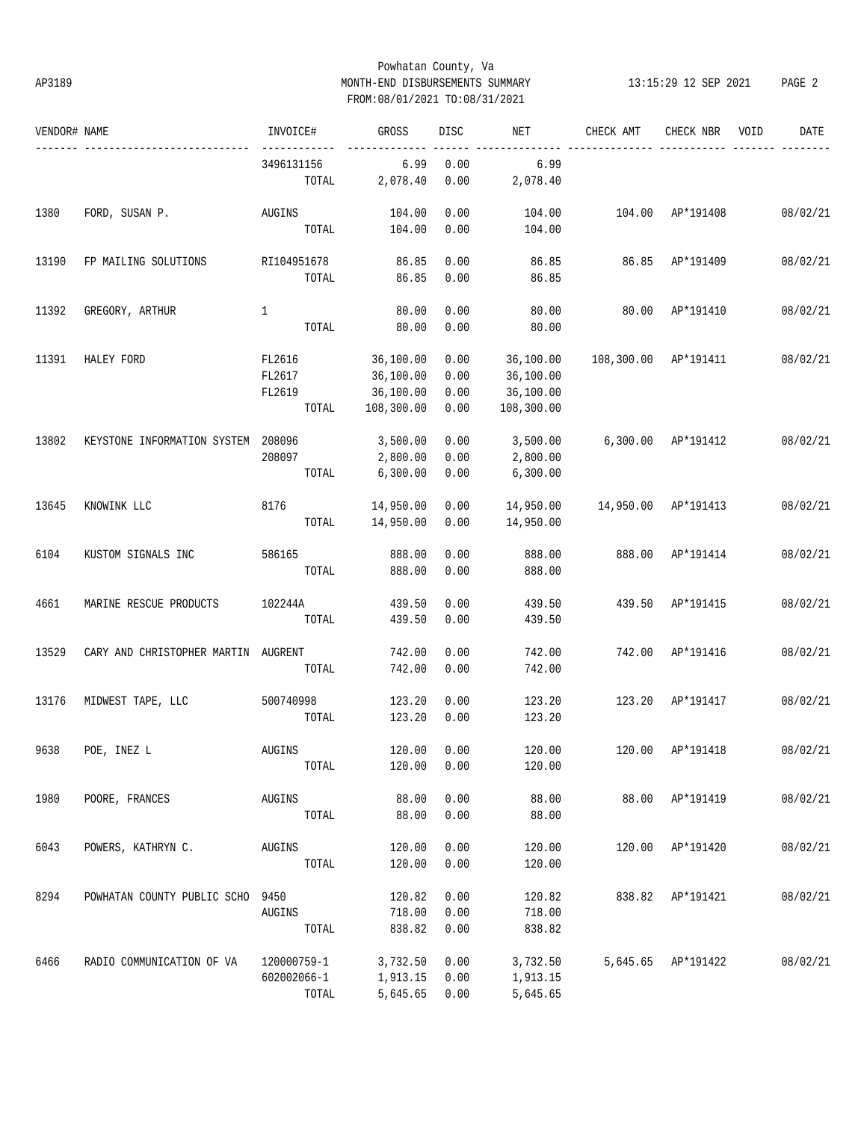## Powhatan County, Va AP3189 MONTH-END DISBURSEMENTS SUMMARY 13:15:29 12 SEP 2021 PAGE 2 FROM:08/01/2021 TO:08/31/2021

| VENDOR# NAME |                                     | INVOICE#     | GROSS      | DISC | NET        | CHECK AMT  | CHECK NBR           | VOID<br>DATE |
|--------------|-------------------------------------|--------------|------------|------|------------|------------|---------------------|--------------|
|              |                                     | 3496131156   | 6.99       | 0.00 | 6.99       |            |                     |              |
|              |                                     | TOTAL        | 2,078.40   | 0.00 | 2,078.40   |            |                     |              |
| 1380         | FORD, SUSAN P.                      | AUGINS       | 104.00     | 0.00 | 104.00     | 104.00     | AP*191408           | 08/02/21     |
|              |                                     | TOTAL        | 104.00     | 0.00 | 104.00     |            |                     |              |
| 13190        | FP MAILING SOLUTIONS                | RI104951678  | 86.85      | 0.00 | 86.85      | 86.85      | AP*191409           | 08/02/21     |
|              |                                     | TOTAL        | 86.85      | 0.00 | 86.85      |            |                     |              |
| 11392        | GREGORY, ARTHUR                     | $\mathbf{1}$ | 80.00      | 0.00 | 80.00      | 80.00      | AP*191410           | 08/02/21     |
|              |                                     | TOTAL        | 80.00      | 0.00 | 80.00      |            |                     |              |
| 11391        | HALEY FORD                          | FL2616       | 36,100.00  | 0.00 | 36,100.00  | 108,300.00 | AP*191411           | 08/02/21     |
|              |                                     | FL2617       | 36,100.00  | 0.00 | 36,100.00  |            |                     |              |
|              |                                     | FL2619       | 36,100.00  | 0.00 | 36,100.00  |            |                     |              |
|              |                                     | TOTAL        | 108,300.00 | 0.00 | 108,300.00 |            |                     |              |
| 13802        | KEYSTONE INFORMATION SYSTEM         | 208096       | 3,500.00   | 0.00 | 3,500.00   |            | 6,300.00 AP*191412  | 08/02/21     |
|              |                                     | 208097       | 2,800.00   | 0.00 | 2,800.00   |            |                     |              |
|              |                                     | TOTAL        | 6,300.00   | 0.00 | 6,300.00   |            |                     |              |
| 13645        | KNOWINK LLC                         | 8176         | 14,950.00  | 0.00 | 14,950.00  |            | 14,950.00 AP*191413 | 08/02/21     |
|              |                                     | TOTAL        | 14,950.00  | 0.00 | 14,950.00  |            |                     |              |
| 6104         | KUSTOM SIGNALS INC                  | 586165       | 888.00     | 0.00 | 888.00     | 888.00     | AP*191414           | 08/02/21     |
|              |                                     | TOTAL        | 888.00     | 0.00 | 888.00     |            |                     |              |
| 4661         | MARINE RESCUE PRODUCTS              | 102244A      | 439.50     | 0.00 | 439.50     | 439.50     | AP*191415           | 08/02/21     |
|              |                                     | TOTAL        | 439.50     | 0.00 | 439.50     |            |                     |              |
| 13529        | CARY AND CHRISTOPHER MARTIN AUGRENT |              | 742.00     | 0.00 | 742.00     | 742.00     | AP*191416           | 08/02/21     |
|              |                                     | TOTAL        | 742.00     | 0.00 | 742.00     |            |                     |              |
| 13176        | MIDWEST TAPE, LLC                   | 500740998    | 123.20     | 0.00 | 123.20     | 123.20     | AP*191417           | 08/02/21     |
|              |                                     | TOTAL        | 123.20     | 0.00 | 123.20     |            |                     |              |
| 9638         | POE, INEZ L                         | AUGINS       | 120.00     | 0.00 | 120.00     | 120.00     | AP*191418           | 08/02/21     |
|              |                                     | TOTAL        | 120.00     | 0.00 | 120.00     |            |                     |              |
| 1980         | POORE, FRANCES                      | AUGINS       | 88.00      | 0.00 | 88.00      | 88.00      | AP*191419           | 08/02/21     |
|              |                                     | TOTAL        | 88.00      | 0.00 | 88.00      |            |                     |              |
| 6043         | POWERS, KATHRYN C.                  | AUGINS       | 120.00     | 0.00 | 120.00     | 120.00     | AP*191420           | 08/02/21     |
|              |                                     | TOTAL        | 120.00     | 0.00 | 120.00     |            |                     |              |
|              |                                     |              |            |      |            |            |                     |              |
| 8294         | POWHATAN COUNTY PUBLIC SCHO 9450    |              | 120.82     | 0.00 | 120.82     | 838.82     | AP*191421           | 08/02/21     |
|              |                                     | AUGINS       | 718.00     | 0.00 | 718.00     |            |                     |              |
|              |                                     | TOTAL        | 838.82     | 0.00 | 838.82     |            |                     |              |
| 6466         | RADIO COMMUNICATION OF VA           | 120000759-1  | 3,732.50   | 0.00 | 3,732.50   |            | 5,645.65 AP*191422  | 08/02/21     |
|              |                                     | 602002066-1  | 1,913.15   | 0.00 | 1,913.15   |            |                     |              |
|              |                                     | TOTAL        | 5,645.65   | 0.00 | 5,645.65   |            |                     |              |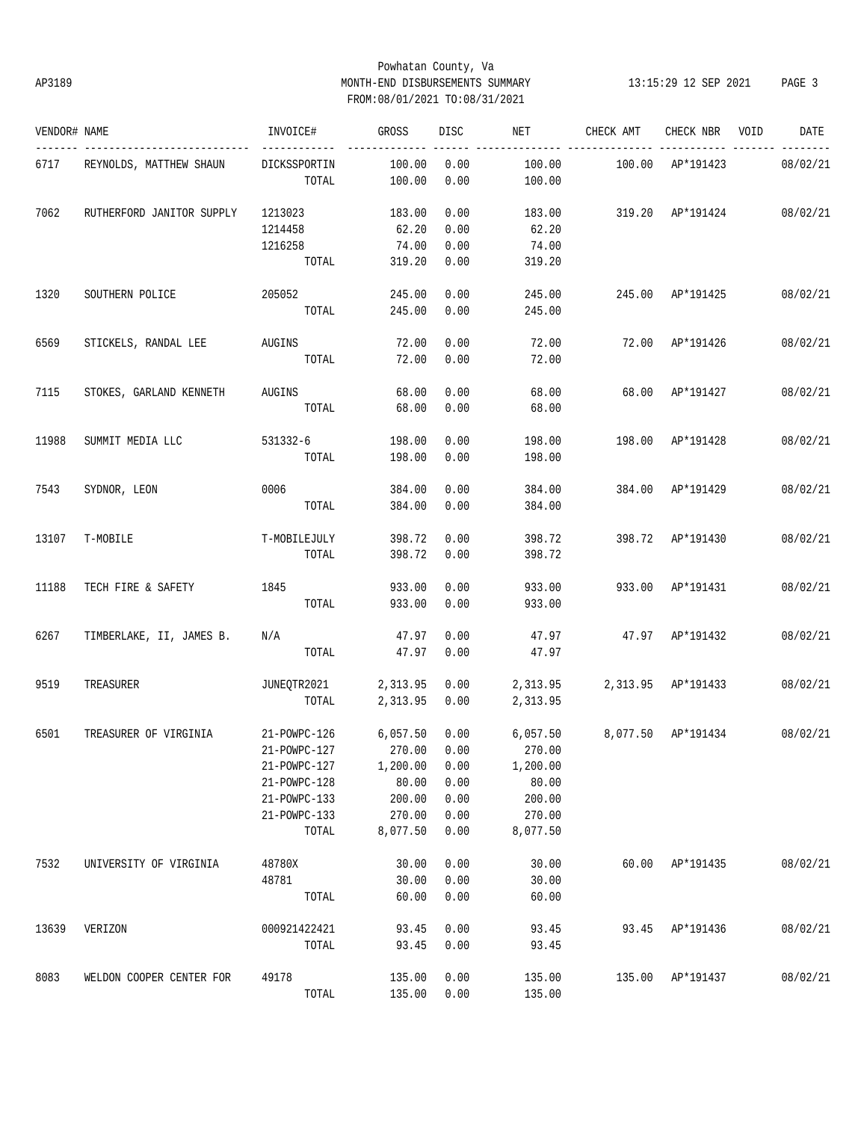# Powhatan County, Va AP3189 MONTH-END DISBURSEMENTS SUMMARY 13:15:29 12 SEP 2021 PAGE 3 FROM:08/01/2021 TO:08/31/2021

| VENDOR# NAME |                           | INVOICE#                        | GROSS    | DISC | NET      | CHECK AMT          | CHECK NBR          | VOID | DATE     |
|--------------|---------------------------|---------------------------------|----------|------|----------|--------------------|--------------------|------|----------|
| 6717         | REYNOLDS, MATTHEW SHAUN   | DICKSSPORTIN                    | 100.00   | 0.00 | 100.00   | 100.00             | AP*191423          |      | 08/02/21 |
|              |                           | TOTAL                           | 100.00   | 0.00 | 100.00   |                    |                    |      |          |
| 7062         | RUTHERFORD JANITOR SUPPLY | 1213023                         | 183.00   | 0.00 | 183.00   | 319.20 AP*191424   |                    |      | 08/02/21 |
|              |                           | 1214458                         | 62.20    | 0.00 | 62.20    |                    |                    |      |          |
|              |                           | 1216258                         | 74.00    | 0.00 | 74.00    |                    |                    |      |          |
|              |                           | TOTAL                           | 319.20   | 0.00 | 319.20   |                    |                    |      |          |
| 1320         | SOUTHERN POLICE           | 205052                          | 245.00   | 0.00 | 245.00   |                    | 245.00 AP*191425   |      | 08/02/21 |
|              |                           | TOTAL                           | 245.00   | 0.00 | 245.00   |                    |                    |      |          |
| 6569         | STICKELS, RANDAL LEE      | <b>AUGINS</b>                   | 72.00    | 0.00 | 72.00    | 72.00              | AP*191426          |      | 08/02/21 |
|              |                           | TOTAL                           | 72.00    | 0.00 | 72.00    |                    |                    |      |          |
| 7115         | STOKES, GARLAND KENNETH   | <b>AUGINS</b>                   | 68.00    | 0.00 | 68.00    | 68.00              | AP*191427          |      | 08/02/21 |
|              |                           | TOTAL                           | 68.00    | 0.00 | 68.00    |                    |                    |      |          |
| 11988        | SUMMIT MEDIA LLC          | 531332-6                        | 198.00   | 0.00 | 198.00   | 198.00             | AP*191428          |      | 08/02/21 |
|              |                           | TOTAL                           | 198.00   | 0.00 | 198.00   |                    |                    |      |          |
| 7543         | SYDNOR, LEON              | 0006                            | 384.00   | 0.00 | 384.00   |                    | 384.00 AP*191429   |      | 08/02/21 |
|              |                           | TOTAL                           | 384.00   | 0.00 | 384.00   |                    |                    |      |          |
| 13107        | T-MOBILE                  | T-MOBILEJULY                    | 398.72   | 0.00 | 398.72   |                    | 398.72 AP*191430   |      | 08/02/21 |
|              |                           | TOTAL                           | 398.72   | 0.00 | 398.72   |                    |                    |      |          |
| 11188        | TECH FIRE & SAFETY        | 1845                            | 933.00   | 0.00 | 933.00   |                    | 933.00 AP*191431   |      | 08/02/21 |
|              |                           | TOTAL                           | 933.00   | 0.00 | 933.00   |                    |                    |      |          |
| 6267         | TIMBERLAKE, II, JAMES B.  | $\rm N/A$                       | 47.97    | 0.00 | 47.97    |                    | 47.97 AP*191432    |      | 08/02/21 |
|              |                           | TOTAL                           | 47.97    | 0.00 | 47.97    |                    |                    |      |          |
| 9519         | TREASURER                 | JUNEQTR2021                     | 2,313.95 | 0.00 | 2,313.95 | 2,313.95 AP*191433 |                    |      | 08/02/21 |
|              |                           | TOTAL                           | 2,313.95 | 0.00 | 2,313.95 |                    |                    |      |          |
| 6501         | TREASURER OF VIRGINIA     | 21-POWPC-126                    | 6,057.50 | 0.00 | 6,057.50 |                    | 8,077.50 AP*191434 |      | 08/02/21 |
|              |                           | 21-POWPC-127 270.00 0.00 270.00 |          |      |          |                    |                    |      |          |
|              |                           | 21-POWPC-127                    | 1,200.00 | 0.00 | 1,200.00 |                    |                    |      |          |
|              |                           | 21-POWPC-128                    | 80.00    | 0.00 | 80.00    |                    |                    |      |          |
|              |                           | 21-POWPC-133                    | 200.00   | 0.00 | 200.00   |                    |                    |      |          |
|              |                           | 21-POWPC-133                    | 270.00   | 0.00 | 270.00   |                    |                    |      |          |
|              |                           | TOTAL                           | 8,077.50 | 0.00 | 8,077.50 |                    |                    |      |          |
| 7532         | UNIVERSITY OF VIRGINIA    | 48780X                          | 30.00    | 0.00 | 30.00    |                    | 60.00 AP*191435    |      | 08/02/21 |
|              |                           | 48781                           | 30.00    | 0.00 | 30.00    |                    |                    |      |          |
|              |                           | TOTAL                           | 60.00    | 0.00 | 60.00    |                    |                    |      |          |
| 13639        | VERIZON                   | 000921422421                    | 93.45    | 0.00 | 93.45    |                    | 93.45 AP*191436    |      | 08/02/21 |
|              |                           | TOTAL                           | 93.45    | 0.00 | 93.45    |                    |                    |      |          |
| 8083         | WELDON COOPER CENTER FOR  | 49178                           | 135.00   | 0.00 | 135.00   |                    | 135.00 AP*191437   |      | 08/02/21 |
|              |                           | TOTAL                           | 135.00   | 0.00 | 135.00   |                    |                    |      |          |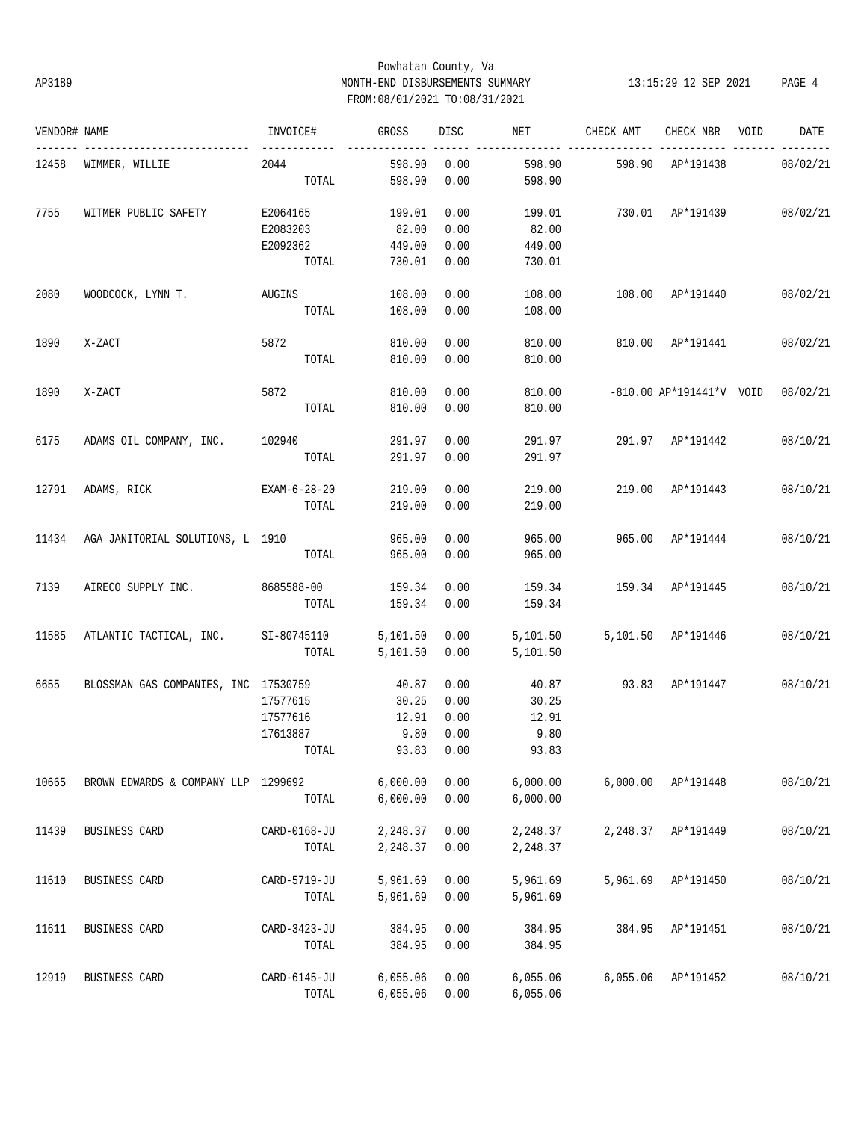## Powhatan County, Va AP3189 MONTH-END DISBURSEMENTS SUMMARY 13:15:29 12 SEP 2021 PAGE 4 FROM:08/01/2021 TO:08/31/2021

| VENDOR# NAME |                                      | INVOICE#     | GROSS    | DISC       | NET      | CHECK AMT                       | CHECK NBR                | VOID | DATE     |
|--------------|--------------------------------------|--------------|----------|------------|----------|---------------------------------|--------------------------|------|----------|
| 12458        | WIMMER, WILLIE                       | 2044         | 598.90   | 0.00       | 598.90   | 598.90                          | AP*191438                |      | 08/02/21 |
|              |                                      | TOTAL        | 598.90   | 0.00       | 598.90   |                                 |                          |      |          |
| 7755         | WITMER PUBLIC SAFETY                 | E2064165     | 199.01   | 0.00       | 199.01   |                                 | 730.01 AP*191439         |      | 08/02/21 |
|              |                                      | E2083203     | 82.00    | 0.00       | 82.00    |                                 |                          |      |          |
|              |                                      | E2092362     | 449.00   | 0.00       | 449.00   |                                 |                          |      |          |
|              |                                      | TOTAL        | 730.01   | 0.00       | 730.01   |                                 |                          |      |          |
| 2080         | WOODCOCK, LYNN T.                    | AUGINS       | 108.00   | 0.00       | 108.00   |                                 | 108.00 AP*191440         |      | 08/02/21 |
|              |                                      | TOTAL        | 108.00   | 0.00       | 108.00   |                                 |                          |      |          |
| 1890         | X-ZACT                               | 5872         | 810.00   | 0.00       | 810.00   |                                 | 810.00 AP*191441         |      | 08/02/21 |
|              |                                      | TOTAL        | 810.00   | 0.00       | 810.00   |                                 |                          |      |          |
| 1890         | X-ZACT                               | 5872         | 810.00   | 0.00       | 810.00   |                                 | -810.00 AP*191441*V VOID |      | 08/02/21 |
|              |                                      | TOTAL        | 810.00   | 0.00       | 810.00   |                                 |                          |      |          |
| 6175         | ADAMS OIL COMPANY, INC. 102940       |              | 291.97   | 0.00       | 291.97   |                                 | 291.97 AP*191442         |      | 08/10/21 |
|              |                                      | TOTAL        | 291.97   | 0.00       | 291.97   |                                 |                          |      |          |
| 12791        | ADAMS, RICK                          | EXAM-6-28-20 | 219.00   | 0.00       | 219.00   |                                 | 219.00 AP*191443         |      | 08/10/21 |
|              |                                      | TOTAL        | 219.00   | 0.00       | 219.00   |                                 |                          |      |          |
| 11434        | AGA JANITORIAL SOLUTIONS, L 1910     |              | 965.00   | 0.00       | 965.00   |                                 | 965.00 AP*191444         |      | 08/10/21 |
|              |                                      | TOTAL        | 965.00   | 0.00       | 965.00   |                                 |                          |      |          |
| 7139         | AIRECO SUPPLY INC. 8685588-00        |              | 159.34   | 0.00       | 159.34   | 159.34 AP*191445                |                          |      | 08/10/21 |
|              |                                      | TOTAL        | 159.34   | 0.00       | 159.34   |                                 |                          |      |          |
| 11585        | ATLANTIC TACTICAL, INC. SI-80745110  |              | 5,101.50 | 0.00       |          | 5,101.50   5,101.50   AP*191446 |                          |      | 08/10/21 |
|              |                                      | TOTAL        | 5,101.50 | 0.00       | 5,101.50 |                                 |                          |      |          |
| 6655         | BLOSSMAN GAS COMPANIES, INC 17530759 |              | 40.87    | 0.00       | 40.87    | 93.83 AP*191447                 |                          |      | 08/10/21 |
|              |                                      | 17577615     | 30.25    | 0.00       | 30.25    |                                 |                          |      |          |
|              |                                      | 17577616     | 12.91    | 0.00       | 12.91    |                                 |                          |      |          |
|              |                                      | 17613887     | 9.80     | 0.00       | 9.80     |                                 |                          |      |          |
|              |                                      | TOTAL        |          | 93.83 0.00 | 93.83    |                                 |                          |      |          |
| 10665        | BROWN EDWARDS & COMPANY LLP 1299692  |              | 6,000.00 | 0.00       | 6,000.00 | 6,000.00                        | AP*191448                |      | 08/10/21 |
|              |                                      | TOTAL        | 6,000.00 | 0.00       | 6,000.00 |                                 |                          |      |          |
| 11439        | BUSINESS CARD                        | CARD-0168-JU | 2,248.37 | 0.00       | 2,248.37 |                                 | 2,248.37 AP*191449       |      | 08/10/21 |
|              |                                      | TOTAL        | 2,248.37 | 0.00       | 2,248.37 |                                 |                          |      |          |
| 11610        |                                      |              | 5,961.69 |            | 5,961.69 | 5,961.69                        |                          |      | 08/10/21 |
|              | BUSINESS CARD                        | CARD-5719-JU |          | 0.00       |          |                                 | AP*191450                |      |          |
|              |                                      | TOTAL        | 5,961.69 | 0.00       | 5,961.69 |                                 |                          |      |          |
| 11611        | BUSINESS CARD                        | CARD-3423-JU | 384.95   | 0.00       | 384.95   | 384.95                          | AP*191451                |      | 08/10/21 |
|              |                                      | TOTAL        | 384.95   | 0.00       | 384.95   |                                 |                          |      |          |
| 12919        | BUSINESS CARD                        | CARD-6145-JU | 6,055.06 | 0.00       | 6,055.06 | 6,055.06                        | AP*191452                |      | 08/10/21 |
|              |                                      | TOTAL        | 6,055.06 | 0.00       | 6,055.06 |                                 |                          |      |          |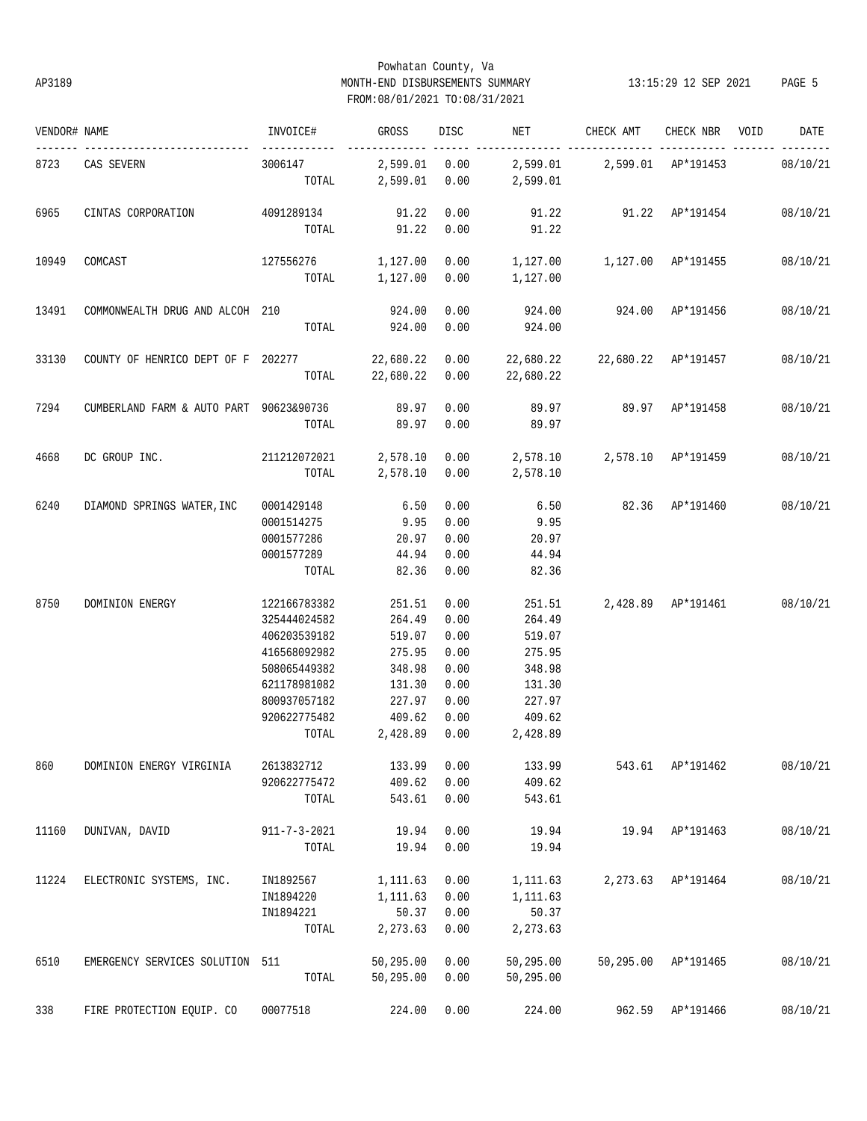## Powhatan County, Va AP3189 MONTH-END DISBURSEMENTS SUMMARY 13:15:29 12 SEP 2021 PAGE 5 FROM:08/01/2021 TO:08/31/2021

| VENDOR# NAME |                                                                                          | INVOICE#                                                                   | <b>GROSS</b>             | DISC <sub>2</sub> | <b>NET</b>                                                           | CHECK AMT                          | CHECK NBR VOID      | DATE     |
|--------------|------------------------------------------------------------------------------------------|----------------------------------------------------------------------------|--------------------------|-------------------|----------------------------------------------------------------------|------------------------------------|---------------------|----------|
|              | 8723 CAS SEVERN                                                                          | ------------<br>3006147 2,599.01 0.00 2,599.01 2,599.01 AP*191453 08/10/21 |                          |                   | ------ ------ --------------- ------<br>TOTAL 2,599.01 0.00 2,599.01 |                                    |                     |          |
|              |                                                                                          |                                                                            |                          |                   |                                                                      |                                    |                     |          |
| 6965         | CINTAS CORPORATION                                                                       | 4091289134 91.22 0.00                                                      |                          |                   | 91.22  91.22  AP*191454  08/10/21                                    |                                    |                     |          |
|              |                                                                                          |                                                                            | TOTAL 91.22 0.00         |                   | 91.22                                                                |                                    |                     |          |
| 10949        | COMCAST                                                                                  | $127556276$ 1,127.00 0.00 1,127.00 1,127.00 $AP*191455$ 08/10/21           |                          |                   |                                                                      |                                    |                     |          |
|              |                                                                                          |                                                                            |                          |                   | TOTAL 1,127.00 0.00 1,127.00                                         |                                    |                     |          |
| 13491        | COMMONWEALTH DRUG AND ALCOH 210                                                          |                                                                            | 924.00                   | 0.00              |                                                                      | 924.00 924.00 AP*191456            |                     | 08/10/21 |
|              |                                                                                          | TOTAL                                                                      | 924.00 0.00              |                   | 924.00                                                               |                                    |                     |          |
| 33130        | COUNTY OF HENRICO DEPT OF F 202277 22,680.22 0.00 22,680.22 22,680.22 AP*191457 08/10/21 |                                                                            |                          |                   |                                                                      |                                    |                     |          |
|              |                                                                                          |                                                                            | TOTAL 22,680.22 0.00     |                   | 22,680.22                                                            |                                    |                     |          |
|              |                                                                                          |                                                                            |                          |                   |                                                                      |                                    |                     |          |
| 7294         | CUMBERLAND FARM & AUTO PART 90623&90736 89.97                                            |                                                                            |                          | 0.00              | 89.97 89.97 AP*191458                                                |                                    |                     | 08/10/21 |
|              |                                                                                          | TOTAL                                                                      | 89.97 0.00               |                   | 89.97                                                                |                                    |                     |          |
| 4668         | DC GROUP INC.                                                                            | 211212072021  2,578.10  0.00  2,578.10  2,578.10  AP*191459                |                          |                   |                                                                      |                                    |                     | 08/10/21 |
|              |                                                                                          |                                                                            |                          |                   | TOTAL 2,578.10 0.00 2,578.10                                         |                                    |                     |          |
|              |                                                                                          |                                                                            | 6.50                     |                   |                                                                      |                                    |                     |          |
| 6240         | DIAMOND SPRINGS WATER, INC                                                               | 0001429148                                                                 |                          | 0.00              |                                                                      | 6.50 82.36 AP*191460 08/10/21      |                     |          |
|              |                                                                                          | 0001514275                                                                 | 9.95 0.00                |                   | 9.95                                                                 |                                    |                     |          |
|              |                                                                                          | 0001577286                                                                 |                          | 20.97 0.00        | 20.97<br>44.94                                                       |                                    |                     |          |
|              |                                                                                          | 0001577289<br>TOTAL                                                        | 44.94 0.00<br>82.36 0.00 |                   | 82.36                                                                |                                    |                     |          |
|              |                                                                                          |                                                                            |                          |                   |                                                                      |                                    |                     |          |
| 8750         | DOMINION ENERGY                                                                          | 122166783382                                                               | 251.51                   | 0.00              |                                                                      | 251.51 2,428.89 AP*191461 08/10/21 |                     |          |
|              |                                                                                          | 325444024582                                                               | 264.49                   | 0.00              | 264.49                                                               |                                    |                     |          |
|              |                                                                                          | 406203539182                                                               | 519.07                   | 0.00              | 519.07                                                               |                                    |                     |          |
|              |                                                                                          | 416568092982                                                               | 275.95                   | 0.00              | 275.95                                                               |                                    |                     |          |
|              |                                                                                          | 508065449382                                                               | 348.98                   | 0.00              | 348.98                                                               |                                    |                     |          |
|              |                                                                                          | 621178981082                                                               | 131.30                   | 0.00              | 131.30                                                               |                                    |                     |          |
|              |                                                                                          | 800937057182                                                               | 227.97                   | 0.00              | 227.97                                                               |                                    |                     |          |
|              |                                                                                          | 920622775482                                                               | 409.62 0.00              |                   | 409.62                                                               |                                    |                     |          |
|              |                                                                                          | TOTAL                                                                      | 2,428.89 0.00            |                   | 2,428.89                                                             |                                    |                     |          |
| 860          | DOMINION ENERGY VIRGINIA                                                                 | 2613832712                                                                 | 133.99                   | 0.00              | 133.99                                                               |                                    | 543.61 AP*191462    | 08/10/21 |
|              |                                                                                          | 920622775472                                                               | 409.62                   | 0.00              | 409.62                                                               |                                    |                     |          |
|              |                                                                                          | TOTAL                                                                      | 543.61                   | 0.00              | 543.61                                                               |                                    |                     |          |
|              |                                                                                          |                                                                            |                          |                   |                                                                      |                                    |                     |          |
| 11160        | DUNIVAN, DAVID                                                                           | $911 - 7 - 3 - 2021$                                                       | 19.94                    | 0.00              | 19.94                                                                |                                    | 19.94 AP*191463     | 08/10/21 |
|              |                                                                                          | TOTAL                                                                      | 19.94                    | 0.00              | 19.94                                                                |                                    |                     |          |
| 11224        | ELECTRONIC SYSTEMS, INC.                                                                 | IN1892567                                                                  | 1,111.63                 | 0.00              | 1,111.63                                                             |                                    | 2,273.63 AP*191464  | 08/10/21 |
|              |                                                                                          | IN1894220                                                                  | 1,111.63                 | 0.00              | 1,111.63                                                             |                                    |                     |          |
|              |                                                                                          | IN1894221                                                                  | 50.37                    | 0.00              | 50.37                                                                |                                    |                     |          |
|              |                                                                                          | TOTAL                                                                      | 2,273.63                 | 0.00              | 2,273.63                                                             |                                    |                     |          |
| 6510         | EMERGENCY SERVICES SOLUTION 511                                                          |                                                                            | 50,295.00                | 0.00              | 50,295.00                                                            |                                    | 50,295.00 AP*191465 | 08/10/21 |
|              |                                                                                          | TOTAL                                                                      | 50,295.00                | 0.00              | 50,295.00                                                            |                                    |                     |          |
|              |                                                                                          |                                                                            |                          |                   |                                                                      |                                    |                     |          |
| 338          | FIRE PROTECTION EQUIP. CO                                                                | 00077518                                                                   | 224.00                   | 0.00              | 224.00                                                               | 962.59                             | AP*191466           | 08/10/21 |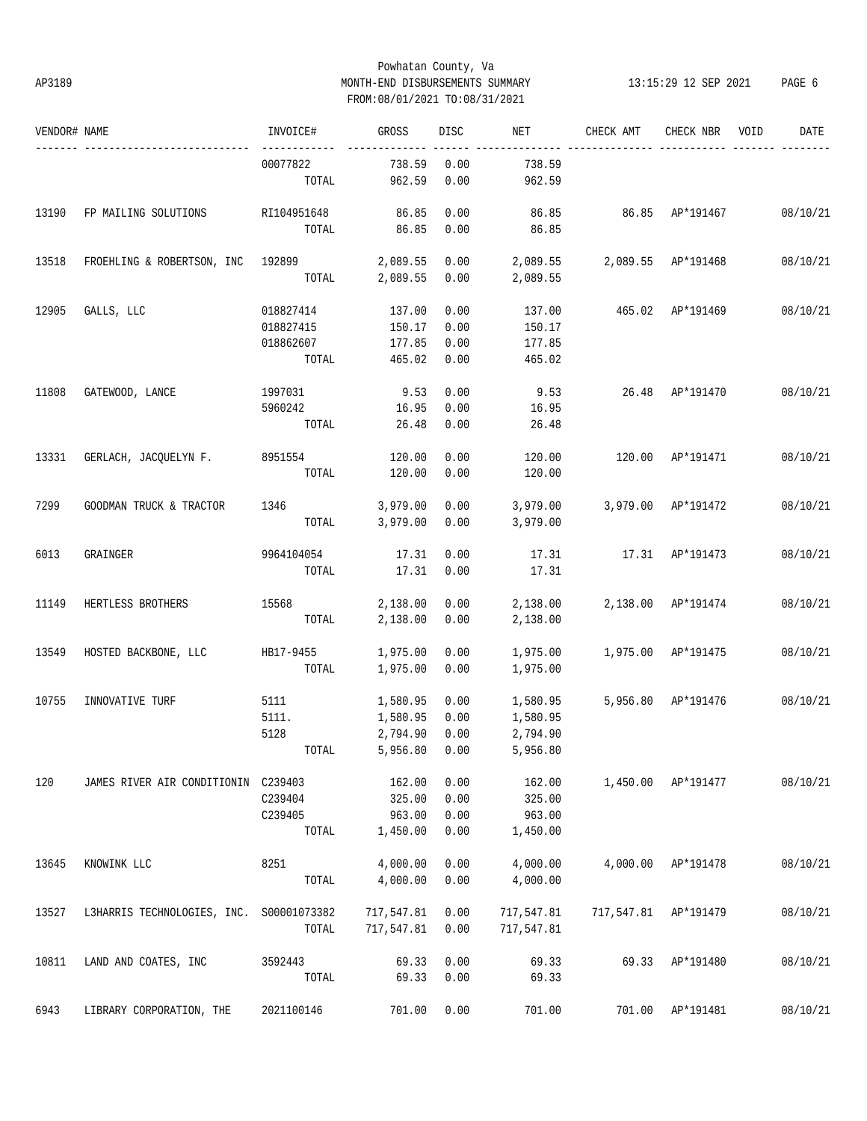## Powhatan County, Va AP3189 MONTH-END DISBURSEMENTS SUMMARY 13:15:29 12 SEP 2021 PAGE 6 FROM:08/01/2021 TO:08/31/2021

| VENDOR# NAME |                                          | INVOICE#          | GROSS            | <b>DISC</b>  | NET                         | CHECK AMT          | CHECK NBR            | VOID | DATE     |
|--------------|------------------------------------------|-------------------|------------------|--------------|-----------------------------|--------------------|----------------------|------|----------|
|              |                                          | 00077822<br>TOTAL | 738.59<br>962.59 | 0.00<br>0.00 | 738.59<br>962.59            |                    |                      |      |          |
|              |                                          |                   |                  |              |                             |                    |                      |      |          |
| 13190        | FP MAILING SOLUTIONS                     | RI104951648       | 86.85            | 0.00         | 86.85                       | 86.85 AP*191467    |                      |      | 08/10/21 |
|              |                                          | TOTAL             | 86.85            | 0.00         | 86.85                       |                    |                      |      |          |
| 13518        | FROEHLING & ROBERTSON, INC 192899        |                   | 2,089.55         | 0.00         | 2,089.55 2,089.55 AP*191468 |                    |                      |      | 08/10/21 |
|              |                                          | TOTAL             | 2,089.55         | 0.00         | 2,089.55                    |                    |                      |      |          |
| 12905        | GALLS, LLC                               | 018827414         | 137.00           | 0.00         | 137.00                      | 465.02 AP*191469   |                      |      | 08/10/21 |
|              |                                          | 018827415         | 150.17           | 0.00         | 150.17                      |                    |                      |      |          |
|              |                                          | 018862607         | 177.85           | 0.00         | 177.85                      |                    |                      |      |          |
|              |                                          | TOTAL             | 465.02           | 0.00         | 465.02                      |                    |                      |      |          |
| 11808        | GATEWOOD, LANCE                          | 1997031           | 9.53             | 0.00         | 9.53                        |                    | 26.48 AP*191470      |      | 08/10/21 |
|              |                                          | 5960242           | 16.95            | 0.00         | 16.95                       |                    |                      |      |          |
|              |                                          | TOTAL             | 26.48            | 0.00         | 26.48                       |                    |                      |      |          |
| 13331        | GERLACH, JACQUELYN F.                    | 8951554           | 120.00           | 0.00         | 120.00                      | 120.00             | AP*191471            |      | 08/10/21 |
|              |                                          | TOTAL             | 120.00           | 0.00         | 120.00                      |                    |                      |      |          |
| 7299         | GOODMAN TRUCK & TRACTOR                  | 1346              | 3,979.00         | 0.00         | 3,979.00                    |                    | 3,979.00 AP*191472   |      | 08/10/21 |
|              |                                          | TOTAL             | 3,979.00         | 0.00         | 3,979.00                    |                    |                      |      |          |
| 6013         | GRAINGER                                 | 9964104054        | 17.31            | 0.00         | 17.31                       | 17.31 AP*191473    |                      |      | 08/10/21 |
|              |                                          | TOTAL             | 17.31            | 0.00         | 17.31                       |                    |                      |      |          |
| 11149        | HERTLESS BROTHERS                        | 15568 315         | 2,138.00         | 0.00         | 2,138.00                    | 2,138.00 AP*191474 |                      |      | 08/10/21 |
|              |                                          | TOTAL             | 2,138.00         | 0.00         | 2,138.00                    |                    |                      |      |          |
| 13549        | HOSTED BACKBONE, LLC                     | HB17-9455         | 1,975.00         | 0.00         | 1,975.00                    | 1,975.00 AP*191475 |                      |      | 08/10/21 |
|              |                                          | TOTAL             | 1,975.00         | 0.00         | 1,975.00                    |                    |                      |      |          |
| 10755        | INNOVATIVE TURF                          | 5111              | 1,580.95         | 0.00         | 1,580.95                    |                    | 5,956.80 AP*191476   |      | 08/10/21 |
|              |                                          | 5111.             | 1,580.95         | 0.00         | 1,580.95                    |                    |                      |      |          |
|              |                                          | 5128              | 2,794.90         | 0.00         | 2,794.90                    |                    |                      |      |          |
|              |                                          | TOTAL             | 5,956.80 0.00    |              | 5,956.80                    |                    |                      |      |          |
| 120          | JAMES RIVER AIR CONDITIONIN C239403      |                   | 162.00           | 0.00         | 162.00                      |                    | 1,450.00 AP*191477   |      | 08/10/21 |
|              |                                          | C239404           | 325.00           | 0.00         | 325.00                      |                    |                      |      |          |
|              |                                          | C239405           | 963.00           | 0.00         | 963.00                      |                    |                      |      |          |
|              |                                          | TOTAL             | 1,450.00         | 0.00         | 1,450.00                    |                    |                      |      |          |
| 13645        | KNOWINK LLC                              | 8251              | 4,000.00         | 0.00         | 4,000.00                    |                    | 4,000.00 AP*191478   |      | 08/10/21 |
|              |                                          | TOTAL             | 4,000.00         | 0.00         | 4,000.00                    |                    |                      |      |          |
| 13527        | L3HARRIS TECHNOLOGIES, INC. S00001073382 |                   | 717,547.81       | 0.00         | 717,547.81                  |                    | 717,547.81 AP*191479 |      | 08/10/21 |
|              |                                          | TOTAL             | 717,547.81       | 0.00         | 717,547.81                  |                    |                      |      |          |
| 10811        | LAND AND COATES, INC                     | 3592443           | 69.33            | 0.00         | 69.33                       | 69.33              | AP*191480            |      | 08/10/21 |
|              |                                          | TOTAL             | 69.33            | 0.00         | 69.33                       |                    |                      |      |          |
| 6943         | LIBRARY CORPORATION, THE                 | 2021100146        | 701.00           | 0.00         | 701.00                      |                    | 701.00 AP*191481     |      | 08/10/21 |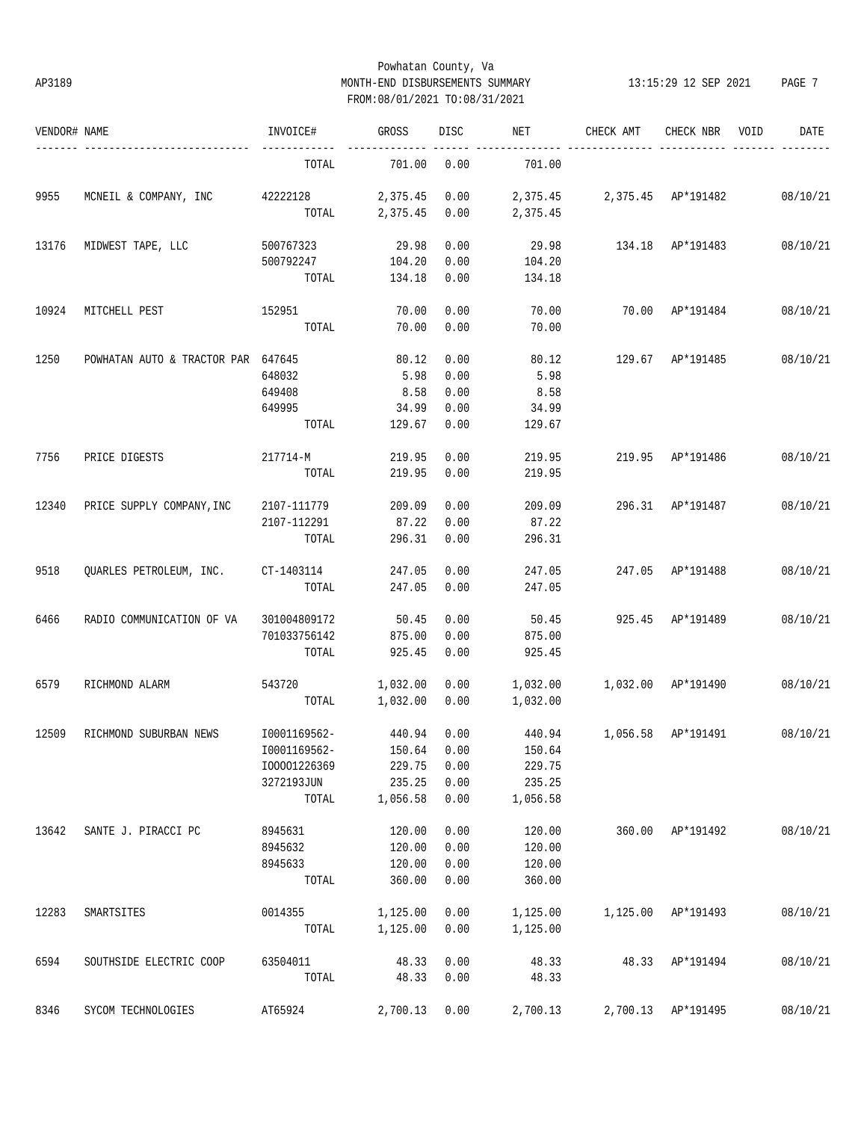## Powhatan County, Va AP3189 MONTH-END DISBURSEMENTS SUMMARY 13:15:29 12 SEP 2021 PAGE 7 FROM:08/01/2021 TO:08/31/2021

| VENDOR# NAME |                                         | INVOICE#          | GROSS    | DISC         | NET            | CHECK AMT                   | CHECK NBR          | VOID | DATE     |
|--------------|-----------------------------------------|-------------------|----------|--------------|----------------|-----------------------------|--------------------|------|----------|
|              |                                         | TOTAL             | 701.00   | 0.00         | 701.00         |                             |                    |      |          |
| 9955         | MCNEIL & COMPANY, INC 42222128 2,375.45 |                   |          | 0.00         |                | 2,375.45 2,375.45 AP*191482 |                    |      | 08/10/21 |
|              |                                         | TOTAL             | 2,375.45 | 0.00         | 2,375.45       |                             |                    |      |          |
| 13176        | MIDWEST TAPE, LLC                       | 500767323         | 29.98    | 0.00         | 29.98          |                             | 134.18 AP*191483   |      | 08/10/21 |
|              |                                         | 500792247         | 104.20   | 0.00         | 104.20         |                             |                    |      |          |
|              |                                         | TOTAL             | 134.18   | 0.00         | 134.18         |                             |                    |      |          |
| 10924        | MITCHELL PEST                           | 152951            | 70.00    | 0.00         | 70.00          |                             | 70.00 AP*191484    |      | 08/10/21 |
|              |                                         | TOTAL             | 70.00    | 0.00         | 70.00          |                             |                    |      |          |
| 1250         | POWHATAN AUTO & TRACTOR PAR 647645      |                   | 80.12    | 0.00         | 80.12          |                             | 129.67 AP*191485   |      | 08/10/21 |
|              |                                         | 648032            | 5.98     | 0.00         | 5.98           |                             |                    |      |          |
|              |                                         | 649408            | 8.58     | 0.00         | 8.58           |                             |                    |      |          |
|              |                                         | 649995            | 34.99    | 0.00         | 34.99          |                             |                    |      |          |
|              |                                         | TOTAL             | 129.67   | 0.00         | 129.67         |                             |                    |      |          |
| 7756         | PRICE DIGESTS                           | 217714-M          | 219.95   | 0.00         | 219.95         |                             | 219.95 AP*191486   |      | 08/10/21 |
|              |                                         | TOTAL             | 219.95   | 0.00         | 219.95         |                             |                    |      |          |
| 12340        | PRICE SUPPLY COMPANY, INC               | 2107-111779       | 209.09   | 0.00         | 209.09         |                             | 296.31 AP*191487   |      | 08/10/21 |
|              |                                         | 2107-112291       | 87.22    | 0.00         | 87.22          |                             |                    |      |          |
|              |                                         | TOTAL             | 296.31   | 0.00         | 296.31         |                             |                    |      |          |
| 9518         | QUARLES PETROLEUM, INC. CT-1403114      |                   | 247.05   | 0.00         | 247.05         |                             | 247.05 AP*191488   |      | 08/10/21 |
|              |                                         | TOTAL             | 247.05   | 0.00         | 247.05         |                             |                    |      |          |
| 6466         | RADIO COMMUNICATION OF VA               | 301004809172      | 50.45    | 0.00         | 50.45          |                             | 925.45 AP*191489   |      | 08/10/21 |
|              |                                         | 701033756142      | 875.00   | 0.00         | 875.00         |                             |                    |      |          |
|              |                                         | TOTAL             | 925.45   | 0.00         | 925.45         |                             |                    |      |          |
| 6579         | RICHMOND ALARM                          | 543720            | 1,032.00 | 0.00         | 1,032.00       | 1,032.00 AP*191490          |                    |      | 08/10/21 |
|              |                                         | TOTAL             | 1,032.00 | 0.00         | 1,032.00       |                             |                    |      |          |
| 12509        | RICHMOND SUBURBAN NEWS                  | I0001169562-      | 440.94   | 0.00         |                | 440.94 1,056.58 AP*191491   |                    |      | 08/10/21 |
|              |                                         | I0001169562-      | 150.64   | 0.00         | 150.64         |                             |                    |      |          |
|              |                                         | I00001226369      | 229.75   | 0.00         | 229.75         |                             |                    |      |          |
|              |                                         | 3272193JUN        | 235.25   | 0.00         | 235.25         |                             |                    |      |          |
|              |                                         | TOTAL             | 1,056.58 | 0.00         | 1,056.58       |                             |                    |      |          |
| 13642        | SANTE J. PIRACCI PC                     | 8945631           | 120.00   | 0.00         | 120.00         |                             | 360.00 AP*191492   |      | 08/10/21 |
|              |                                         | 8945632           | 120.00   | 0.00         | 120.00         |                             |                    |      |          |
|              |                                         | 8945633           | 120.00   | 0.00         | 120.00         |                             |                    |      |          |
|              |                                         | TOTAL             | 360.00   | 0.00         | 360.00         |                             |                    |      |          |
| 12283        | SMARTSITES                              | 0014355           | 1,125.00 | 0.00         | 1,125.00       |                             | 1,125.00 AP*191493 |      | 08/10/21 |
|              |                                         | TOTAL             | 1,125.00 | 0.00         | 1,125.00       |                             |                    |      |          |
|              |                                         |                   | 48.33    |              |                |                             |                    |      |          |
| 6594         | SOUTHSIDE ELECTRIC COOP                 | 63504011<br>TOTAL | 48.33    | 0.00<br>0.00 | 48.33<br>48.33 |                             | 48.33 AP*191494    |      | 08/10/21 |
|              |                                         |                   |          |              |                |                             |                    |      |          |
| 8346         | SYCOM TECHNOLOGIES                      | AT65924           | 2,700.13 | 0.00         | 2,700.13       |                             | 2,700.13 AP*191495 |      | 08/10/21 |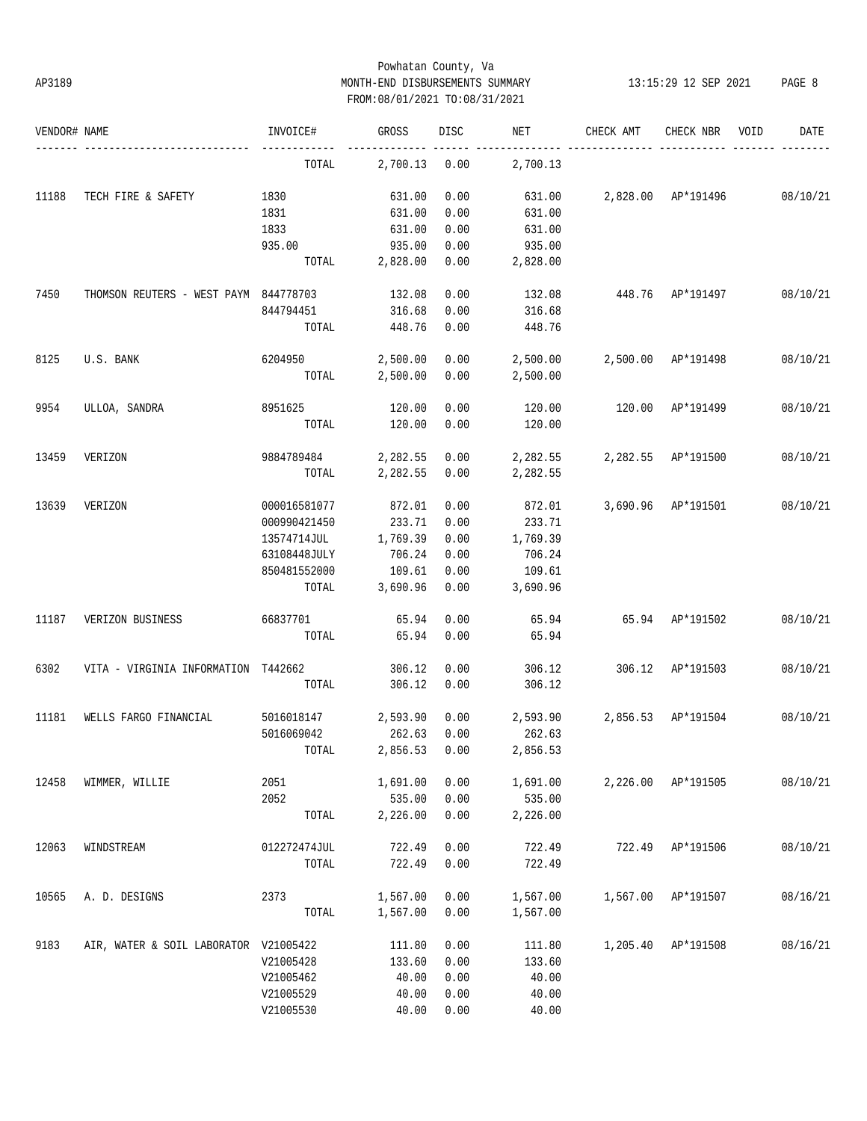## Powhatan County, Va AP3189 MONTH-END DISBURSEMENTS SUMMARY 13:15:29 12 SEP 2021 PAGE 8 FROM:08/01/2021 TO:08/31/2021

| VENDOR# NAME |                                       | INVOICE#     | GROSS    | DISC | NET      | CHECK AMT        | CHECK NBR          | VOID | DATE     |
|--------------|---------------------------------------|--------------|----------|------|----------|------------------|--------------------|------|----------|
|              |                                       | TOTAL        | 2,700.13 | 0.00 | 2,700.13 |                  |                    |      |          |
| 11188        | TECH FIRE & SAFETY                    | 1830         | 631.00   | 0.00 | 631.00   |                  | 2,828.00 AP*191496 |      | 08/10/21 |
|              |                                       | 1831         | 631.00   | 0.00 | 631.00   |                  |                    |      |          |
|              |                                       | 1833         | 631.00   | 0.00 | 631.00   |                  |                    |      |          |
|              |                                       | 935.00       | 935.00   | 0.00 | 935.00   |                  |                    |      |          |
|              |                                       | TOTAL        | 2,828.00 | 0.00 | 2,828.00 |                  |                    |      |          |
| 7450         | THOMSON REUTERS - WEST PAYM 844778703 |              | 132.08   | 0.00 | 132.08   | 448.76 AP*191497 |                    |      | 08/10/21 |
|              |                                       | 844794451    | 316.68   | 0.00 | 316.68   |                  |                    |      |          |
|              |                                       | TOTAL        | 448.76   | 0.00 | 448.76   |                  |                    |      |          |
| 8125         | U.S. BANK                             | 6204950      | 2,500.00 | 0.00 | 2,500.00 |                  | 2,500.00 AP*191498 |      | 08/10/21 |
|              |                                       | TOTAL        | 2,500.00 | 0.00 | 2,500.00 |                  |                    |      |          |
| 9954         | ULLOA, SANDRA                         | 8951625      | 120.00   | 0.00 | 120.00   | 120.00           | AP*191499          |      | 08/10/21 |
|              |                                       | TOTAL        | 120.00   | 0.00 | 120.00   |                  |                    |      |          |
| 13459        | VERIZON                               | 9884789484   | 2,282.55 | 0.00 | 2,282.55 |                  | 2,282.55 AP*191500 |      | 08/10/21 |
|              |                                       | TOTAL        | 2,282.55 | 0.00 | 2,282.55 |                  |                    |      |          |
| 13639        | VERIZON                               | 000016581077 | 872.01   | 0.00 | 872.01   |                  | 3,690.96 AP*191501 |      | 08/10/21 |
|              |                                       | 000990421450 | 233.71   | 0.00 | 233.71   |                  |                    |      |          |
|              |                                       | 13574714JUL  | 1,769.39 | 0.00 | 1,769.39 |                  |                    |      |          |
|              |                                       | 63108448JULY | 706.24   | 0.00 | 706.24   |                  |                    |      |          |
|              |                                       | 850481552000 | 109.61   | 0.00 | 109.61   |                  |                    |      |          |
|              |                                       | TOTAL        | 3,690.96 | 0.00 | 3,690.96 |                  |                    |      |          |
| 11187        | VERIZON BUSINESS                      | 66837701     | 65.94    | 0.00 | 65.94    |                  | 65.94 AP*191502    |      | 08/10/21 |
|              |                                       | TOTAL        | 65.94    | 0.00 | 65.94    |                  |                    |      |          |
| 6302         | VITA - VIRGINIA INFORMATION T442662   |              | 306.12   | 0.00 | 306.12   | 306.12           | AP*191503          |      | 08/10/21 |
|              |                                       | TOTAL        | 306.12   | 0.00 | 306.12   |                  |                    |      |          |
| 11181        | WELLS FARGO FINANCIAL                 | 5016018147   | 2,593.90 | 0.00 | 2,593.90 |                  | 2,856.53 AP*191504 |      | 08/10/21 |
|              |                                       | 5016069042   | 262.63   | 0.00 | 262.63   |                  |                    |      |          |
|              |                                       | TOTAL        | 2,856.53 | 0.00 | 2,856.53 |                  |                    |      |          |
| 12458        | WIMMER, WILLIE                        | 2051         | 1,691.00 | 0.00 | 1,691.00 | 2,226.00         | AP*191505          |      | 08/10/21 |
|              |                                       | 2052         | 535.00   | 0.00 | 535.00   |                  |                    |      |          |
|              |                                       | TOTAL        | 2,226.00 | 0.00 | 2,226.00 |                  |                    |      |          |
| 12063        | WINDSTREAM                            | 012272474JUL | 722.49   | 0.00 | 722.49   | 722.49           | AP*191506          |      | 08/10/21 |
|              |                                       | TOTAL        | 722.49   | 0.00 | 722.49   |                  |                    |      |          |
| 10565        | A. D. DESIGNS                         | 2373         | 1,567.00 | 0.00 | 1,567.00 | 1,567.00         | AP*191507          |      | 08/16/21 |
|              |                                       | TOTAL        | 1,567.00 | 0.00 | 1,567.00 |                  |                    |      |          |
| 9183         | AIR, WATER & SOIL LABORATOR V21005422 |              | 111.80   | 0.00 | 111.80   | 1,205.40         | AP*191508          |      | 08/16/21 |
|              |                                       | V21005428    | 133.60   | 0.00 | 133.60   |                  |                    |      |          |
|              |                                       | V21005462    | 40.00    | 0.00 | 40.00    |                  |                    |      |          |
|              |                                       | V21005529    | 40.00    | 0.00 | 40.00    |                  |                    |      |          |
|              |                                       | V21005530    | 40.00    | 0.00 | 40.00    |                  |                    |      |          |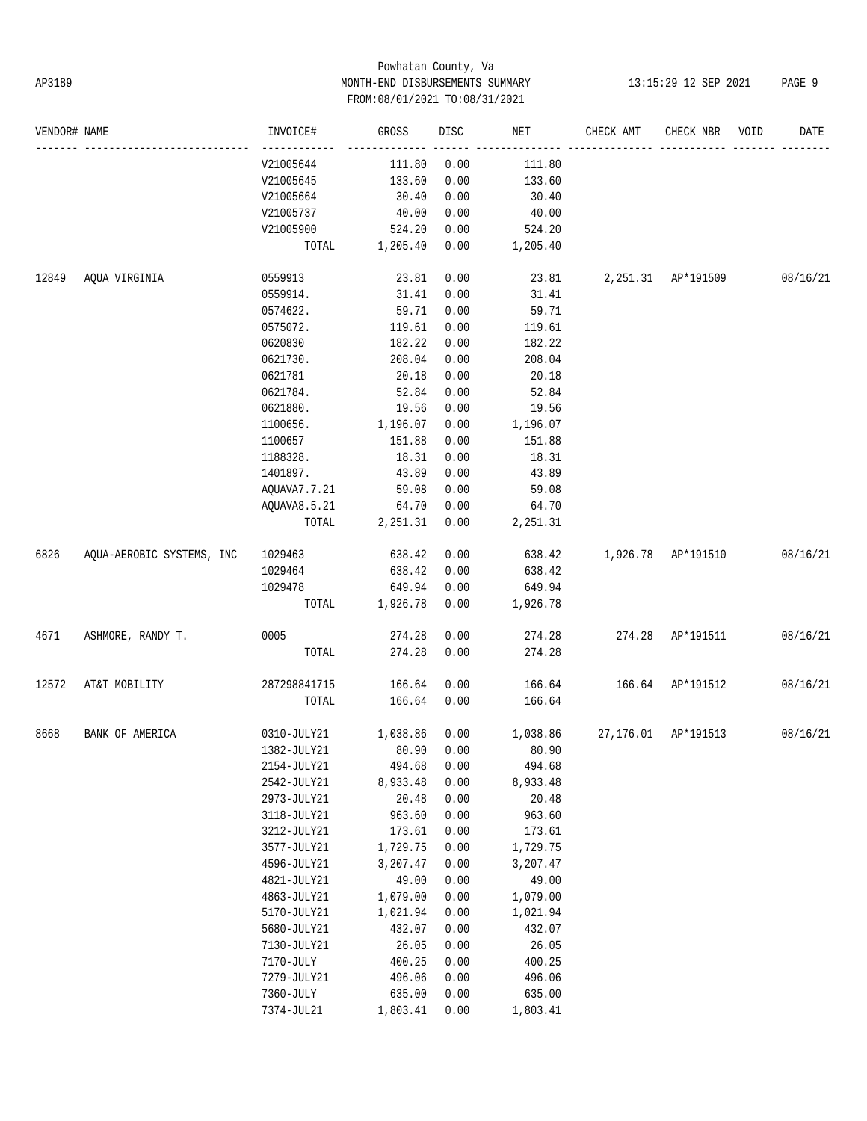## Powhatan County, Va AP3189 MONTH-END DISBURSEMENTS SUMMARY 13:15:29 12 SEP 2021 PAGE 9 FROM:08/01/2021 TO:08/31/2021

| VENDOR# NAME |                           | INVOICE#                                                                   | GROSS          | DISC | NET      | CHECK AMT                            | CHECK NBR | VOID | DATE     |
|--------------|---------------------------|----------------------------------------------------------------------------|----------------|------|----------|--------------------------------------|-----------|------|----------|
|              |                           | V21005644                                                                  | 111.80         | 0.00 | 111.80   |                                      |           |      |          |
|              |                           | V21005645                                                                  | 133.60         | 0.00 | 133.60   |                                      |           |      |          |
|              |                           | V21005664                                                                  | 30.40          | 0.00 | 30.40    |                                      |           |      |          |
|              |                           | V21005737                                                                  | 40.00          | 0.00 | 40.00    |                                      |           |      |          |
|              |                           | V21005900                                                                  | 524.20         | 0.00 | 524.20   |                                      |           |      |          |
|              |                           |                                                                            | TOTAL 1,205.40 | 0.00 | 1,205.40 |                                      |           |      |          |
| 12849        | AQUA VIRGINIA             | 0559913                                                                    | 23.81          | 0.00 |          | 23.81  2,251.31  AP*191509  08/16/21 |           |      |          |
|              |                           | 0559914.                                                                   | 31.41          | 0.00 | 31.41    |                                      |           |      |          |
|              |                           | 0574622.                                                                   | 59.71          | 0.00 | 59.71    |                                      |           |      |          |
|              |                           | 0575072.                                                                   | 119.61         | 0.00 | 119.61   |                                      |           |      |          |
|              |                           | 0620830                                                                    | 182.22         | 0.00 | 182.22   |                                      |           |      |          |
|              |                           | 0621730.                                                                   | 208.04         | 0.00 | 208.04   |                                      |           |      |          |
|              |                           | 0621781                                                                    | 20.18          | 0.00 | 20.18    |                                      |           |      |          |
|              |                           | 0621784.                                                                   | 52.84          | 0.00 | 52.84    |                                      |           |      |          |
|              |                           | 0621880.                                                                   | 19.56          | 0.00 | 19.56    |                                      |           |      |          |
|              |                           | 1100656.                                                                   | 1,196.07       | 0.00 | 1,196.07 |                                      |           |      |          |
|              |                           | 1100657                                                                    | 151.88         | 0.00 | 151.88   |                                      |           |      |          |
|              |                           | 1188328.                                                                   | 18.31          | 0.00 | 18.31    |                                      |           |      |          |
|              |                           | 1401897.                                                                   | 43.89          | 0.00 | 43.89    |                                      |           |      |          |
|              |                           | AQUAVA7.7.21                                                               | 59.08          | 0.00 | 59.08    |                                      |           |      |          |
|              |                           | AQUAVA8.5.21                                                               | 64.70          | 0.00 | 64.70    |                                      |           |      |          |
|              |                           | TOTAL                                                                      | 2,251.31 0.00  |      | 2,251.31 |                                      |           |      |          |
| 6826         | AQUA-AEROBIC SYSTEMS, INC | 1029463                                                                    | 638.42         | 0.00 |          | 638.42 1,926.78 AP*191510 08/16/21   |           |      |          |
|              |                           | 1029464                                                                    | 638.42         | 0.00 | 638.42   |                                      |           |      |          |
|              |                           | 1029478                                                                    | 649.94         | 0.00 | 649.94   |                                      |           |      |          |
|              |                           |                                                                            | TOTAL 1,926.78 | 0.00 | 1,926.78 |                                      |           |      |          |
| 4671         | ASHMORE, RANDY T.         | 0005                                                                       | 274.28         | 0.00 | 274.28   | 274.28 AP*191511                     |           |      | 08/16/21 |
|              |                           | TOTAL                                                                      | 274.28         | 0.00 | 274.28   |                                      |           |      |          |
| 12572        | AT&T MOBILITY             | 287298841715                                                               | 166.64         | 0.00 |          | 166.64   166.64   AP*191512          |           |      | 08/16/21 |
|              |                           | TOTAL                                                                      | 166.64         | 0.00 | 166.64   |                                      |           |      |          |
| 8668         | BANK OF AMERICA           | $0310$ -JULY21 $1,038.86$ $0.00$ $1,038.86$ $27,176.01$ $\text{AP*191513}$ |                |      |          |                                      |           |      | 08/16/21 |
|              |                           | 1382-JULY21 80.90 0.00 80.90                                               |                |      |          |                                      |           |      |          |
|              |                           | 2154-JULY21                                                                | 494.68         | 0.00 | 494.68   |                                      |           |      |          |
|              |                           | 2542-JULY21                                                                | 8,933.48       | 0.00 | 8,933.48 |                                      |           |      |          |
|              |                           | 2973-JULY21                                                                | 20.48          | 0.00 | 20.48    |                                      |           |      |          |
|              |                           | 3118-JULY21                                                                | 963.60         | 0.00 | 963.60   |                                      |           |      |          |
|              |                           | 3212-JULY21                                                                | 173.61         | 0.00 | 173.61   |                                      |           |      |          |
|              |                           | 3577-JULY21                                                                | 1,729.75       | 0.00 | 1,729.75 |                                      |           |      |          |
|              |                           | 4596-JULY21                                                                | 3,207.47       | 0.00 | 3,207.47 |                                      |           |      |          |
|              |                           | 4821-JULY21                                                                | 49.00          | 0.00 | 49.00    |                                      |           |      |          |
|              |                           | 4863-JULY21                                                                | 1,079.00       | 0.00 | 1,079.00 |                                      |           |      |          |
|              |                           | 5170-JULY21                                                                | 1,021.94       | 0.00 | 1,021.94 |                                      |           |      |          |
|              |                           | 5680-JULY21                                                                | 432.07         | 0.00 | 432.07   |                                      |           |      |          |
|              |                           | 7130-JULY21                                                                | 26.05          | 0.00 | 26.05    |                                      |           |      |          |
|              |                           | 7170-JULY                                                                  | 400.25         | 0.00 | 400.25   |                                      |           |      |          |
|              |                           | 7279-JULY21                                                                | 496.06         | 0.00 | 496.06   |                                      |           |      |          |
|              |                           | 7360-JULY                                                                  | 635.00         | 0.00 | 635.00   |                                      |           |      |          |
|              |                           | 7374-JUL21                                                                 | 1,803.41       | 0.00 | 1,803.41 |                                      |           |      |          |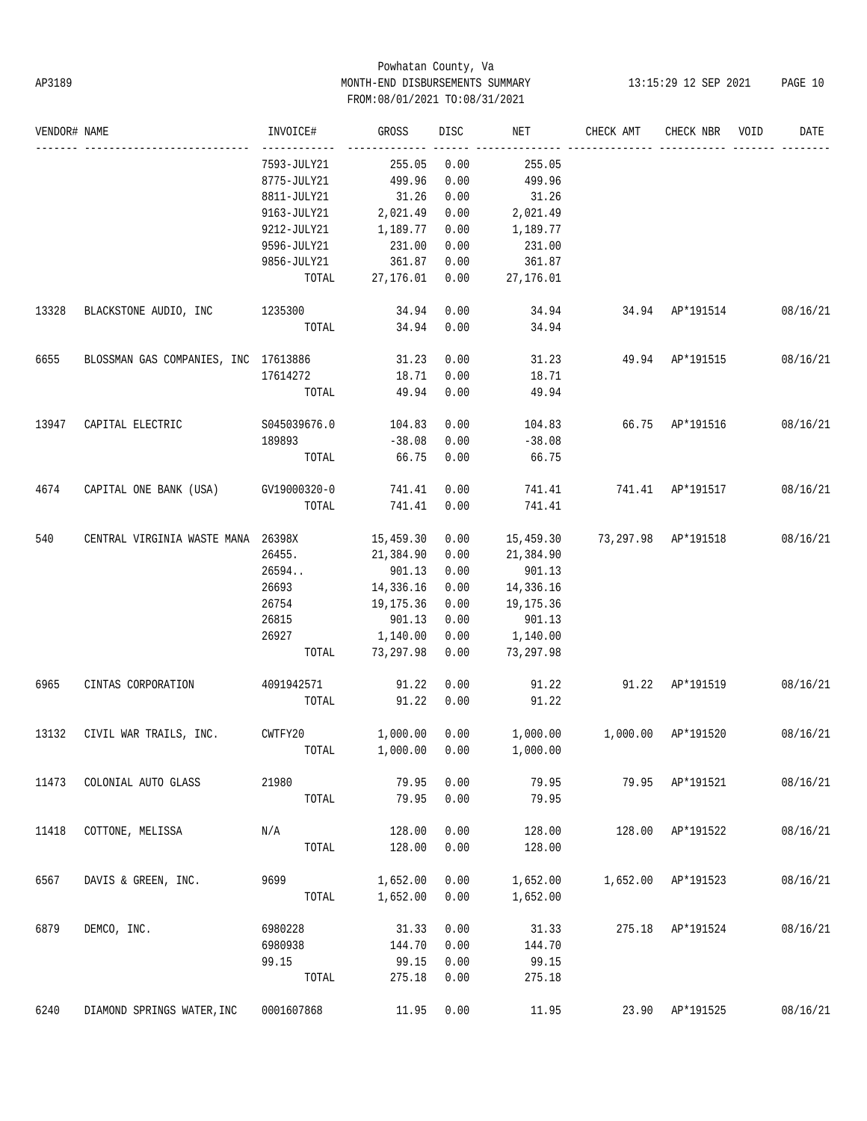# Powhatan County, Va AP3189 MONTH-END DISBURSEMENTS SUMMARY 13:15:29 12 SEP 2021 PAGE 10 FROM:08/01/2021 TO:08/31/2021

| VENDOR# NAME |                                      | INVOICE#     | GROSS     | DISC | NET                          | CHECK AMT             | CHECK NBR          | VOID | DATE     |
|--------------|--------------------------------------|--------------|-----------|------|------------------------------|-----------------------|--------------------|------|----------|
|              |                                      | 7593-JULY21  | 255.05    | 0.00 | 255.05                       |                       |                    |      |          |
|              |                                      | 8775-JULY21  | 499.96    | 0.00 | 499.96                       |                       |                    |      |          |
|              |                                      | 8811-JULY21  | 31.26     | 0.00 | 31.26                        |                       |                    |      |          |
|              |                                      | 9163-JULY21  | 2,021.49  | 0.00 | 2,021.49                     |                       |                    |      |          |
|              |                                      | 9212-JULY21  | 1,189.77  | 0.00 | 1,189.77                     |                       |                    |      |          |
|              |                                      | 9596-JULY21  | 231.00    | 0.00 | 231.00                       |                       |                    |      |          |
|              |                                      | 9856-JULY21  | 361.87    | 0.00 | 361.87                       |                       |                    |      |          |
|              |                                      | TOTAL        | 27,176.01 | 0.00 | 27,176.01                    |                       |                    |      |          |
| 13328        | BLACKSTONE AUDIO, INC                | 1235300      | 34.94     | 0.00 | 34.94                        | 34.94 AP*191514       |                    |      | 08/16/21 |
|              |                                      | TOTAL        | 34.94     | 0.00 | 34.94                        |                       |                    |      |          |
| 6655         | BLOSSMAN GAS COMPANIES, INC 17613886 |              | 31.23     | 0.00 |                              | 31.23 49.94 AP*191515 |                    |      | 08/16/21 |
|              |                                      | 17614272     | 18.71     | 0.00 | 18.71                        |                       |                    |      |          |
|              |                                      | TOTAL        | 49.94     | 0.00 | 49.94                        |                       |                    |      |          |
| 13947        | CAPITAL ELECTRIC                     | S045039676.0 | 104.83    | 0.00 | 104.83                       | 66.75 AP*191516       |                    |      | 08/16/21 |
|              |                                      | 189893       | $-38.08$  | 0.00 | $-38.08$                     |                       |                    |      |          |
|              |                                      | TOTAL        | 66.75     | 0.00 | 66.75                        |                       |                    |      |          |
| 4674         | CAPITAL ONE BANK (USA) GV19000320-0  |              | 741.41    | 0.00 | 741.41                       | 741.41 AP*191517      |                    |      | 08/16/21 |
|              |                                      | TOTAL        | 741.41    | 0.00 | 741.41                       |                       |                    |      |          |
| 540          | CENTRAL VIRGINIA WASTE MANA 26398X   |              | 15,459.30 | 0.00 | 15,459.30                    | 73,297.98 AP*191518   |                    |      | 08/16/21 |
|              |                                      | 26455.       | 21,384.90 | 0.00 | 21,384.90                    |                       |                    |      |          |
|              |                                      | 26594        | 901.13    | 0.00 | 901.13                       |                       |                    |      |          |
|              |                                      | 26693        | 14,336.16 | 0.00 | 14,336.16                    |                       |                    |      |          |
|              |                                      | 26754        | 19,175.36 | 0.00 | 19,175.36                    |                       |                    |      |          |
|              |                                      | 26815        | 901.13    | 0.00 | 901.13                       |                       |                    |      |          |
|              |                                      | 26927        | 1,140.00  | 0.00 | 1,140.00                     |                       |                    |      |          |
|              |                                      | TOTAL        | 73,297.98 | 0.00 | 73,297.98                    |                       |                    |      |          |
| 6965         | CINTAS CORPORATION                   | 4091942571   | 91.22     | 0.00 | 91.22                        | 91.22 AP*191519       |                    |      | 08/16/21 |
|              |                                      | TOTAL        | 91.22     | 0.00 | 91.22                        |                       |                    |      |          |
| 13132        | CIVIL WAR TRAILS, INC.               | CWTFY20      | 1,000.00  | 0.00 | 1,000.00                     | 1,000.00 AP*191520    |                    |      | 08/16/21 |
|              |                                      |              |           |      | TOTAL 1,000.00 0.00 1,000.00 |                       |                    |      |          |
| 11473        | COLONIAL AUTO GLASS                  | 21980        | 79.95     | 0.00 | 79.95                        |                       | 79.95 AP*191521    |      | 08/16/21 |
|              |                                      | TOTAL        | 79.95     | 0.00 | 79.95                        |                       |                    |      |          |
| 11418        | COTTONE, MELISSA                     | N/A          | 128.00    | 0.00 | 128.00                       |                       | 128.00 AP*191522   |      | 08/16/21 |
|              |                                      | TOTAL        | 128.00    | 0.00 | 128.00                       |                       |                    |      |          |
| 6567         | DAVIS & GREEN, INC.                  | 9699         | 1,652.00  | 0.00 | 1,652.00                     |                       | 1,652.00 AP*191523 |      | 08/16/21 |
|              |                                      | TOTAL        | 1,652.00  | 0.00 | 1,652.00                     |                       |                    |      |          |
| 6879         | DEMCO, INC.                          | 6980228      | 31.33     | 0.00 | 31.33                        |                       | 275.18 AP*191524   |      | 08/16/21 |
|              |                                      | 6980938      | 144.70    | 0.00 | 144.70                       |                       |                    |      |          |
|              |                                      | 99.15        | 99.15     | 0.00 | 99.15                        |                       |                    |      |          |
|              |                                      | TOTAL        | 275.18    | 0.00 | 275.18                       |                       |                    |      |          |
| 6240         | DIAMOND SPRINGS WATER, INC           | 0001607868   | 11.95     | 0.00 | 11.95                        |                       | 23.90 AP*191525    |      | 08/16/21 |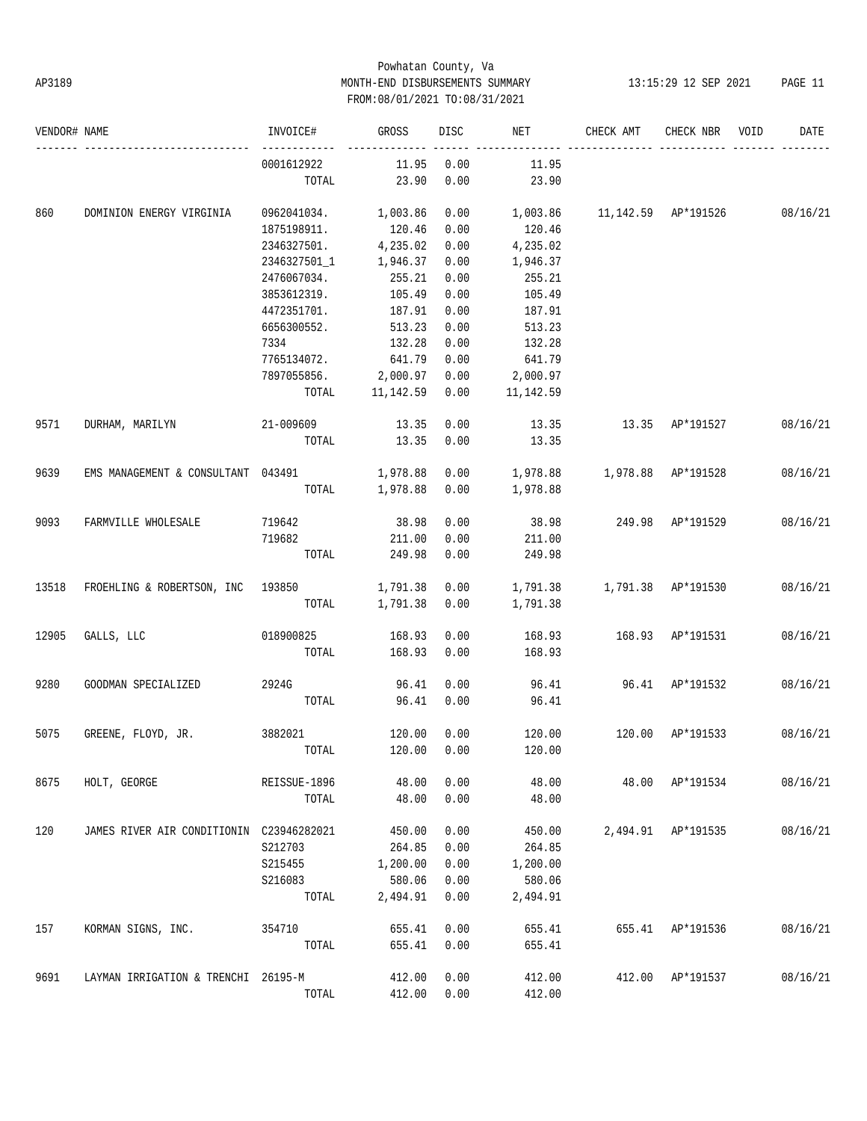## Powhatan County, Va AP3189 MONTH-END DISBURSEMENTS SUMMARY 13:15:29 12 SEP 2021 PAGE 11 FROM:08/01/2021 TO:08/31/2021

| VENDOR# NAME |                                          | INVOICE#             | GROSS           | DISC | NET                                         | CHECK AMT             | CHECK NBR VOID     | DATE     |
|--------------|------------------------------------------|----------------------|-----------------|------|---------------------------------------------|-----------------------|--------------------|----------|
|              |                                          | 0001612922           | 11.95           | 0.00 | 11.95                                       |                       |                    |          |
|              |                                          | TOTAL                | 23.90           | 0.00 | 23.90                                       |                       |                    |          |
| 860          | DOMINION ENERGY VIRGINIA                 | 0962041034. 1,003.86 |                 | 0.00 | 1,003.86   11,142.59   AP*191526   08/16/21 |                       |                    |          |
|              |                                          | 1875198911.          | 120.46          | 0.00 | 120.46                                      |                       |                    |          |
|              |                                          | 2346327501.          | 4,235.02        | 0.00 | 4,235.02                                    |                       |                    |          |
|              |                                          | 2346327501_1         | 1,946.37        | 0.00 | 1,946.37                                    |                       |                    |          |
|              |                                          | 2476067034.          | 255.21          | 0.00 | 255.21                                      |                       |                    |          |
|              |                                          | 3853612319.          | 105.49          | 0.00 | 105.49                                      |                       |                    |          |
|              |                                          | 4472351701.          | 187.91          | 0.00 | 187.91                                      |                       |                    |          |
|              |                                          | 6656300552.          | 513.23          | 0.00 | 513.23                                      |                       |                    |          |
|              |                                          | 7334                 | 132.28          | 0.00 | 132.28                                      |                       |                    |          |
|              |                                          | 7765134072.          | 641.79          | 0.00 | 641.79                                      |                       |                    |          |
|              |                                          | 7897055856. 2,000.97 |                 | 0.00 | $2$ ,000.97                                 |                       |                    |          |
|              |                                          |                      | TOTAL 11,142.59 | 0.00 | 11,142.59                                   |                       |                    |          |
| 9571         | DURHAM, MARILYN                          | 21-009609 13.35      |                 | 0.00 |                                             | 13.35 13.35 AP*191527 |                    | 08/16/21 |
|              |                                          | TOTAL                | 13.35           | 0.00 | 13.35                                       |                       |                    |          |
| 9639         | EMS MANAGEMENT & CONSULTANT 043491       |                      | 1,978.88        | 0.00 |                                             |                       |                    | 08/16/21 |
|              |                                          | TOTAL                | 1,978.88 0.00   |      | 1,978.88                                    |                       |                    |          |
| 9093         | FARMVILLE WHOLESALE                      | 719642               | 38.98           | 0.00 | 38.98                                       | 249.98 AP*191529      |                    | 08/16/21 |
|              |                                          | 719682               | 211.00          | 0.00 | 211.00                                      |                       |                    |          |
|              |                                          | TOTAL                | 249.98          | 0.00 | 249.98                                      |                       |                    |          |
| 13518        | FROEHLING & ROBERTSON, INC 193850        |                      | 1,791.38        | 0.00 |                                             |                       |                    | 08/16/21 |
|              |                                          | TOTAL                | 1,791.38        | 0.00 | 1,791.38                                    |                       |                    |          |
| 12905        | GALLS, LLC                               | 018900825            | 168.93          | 0.00 | 168.93                                      | 168.93 AP*191531      |                    | 08/16/21 |
|              |                                          | TOTAL                | 168.93          | 0.00 | 168.93                                      |                       |                    |          |
| 9280         | GOODMAN SPECIALIZED                      | 2924G                | 96.41           | 0.00 |                                             | 96.41 96.41 AP*191532 |                    | 08/16/21 |
|              |                                          | TOTAL                | 96.41           | 0.00 | 96.41                                       |                       |                    |          |
| 5075         | GREENE, FLOYD, JR.                       | 3882021              | 120.00          | 0.00 | 120.00                                      | 120.00                | AP*191533          | 08/16/21 |
|              |                                          |                      |                 |      | TOTAL 120.00 0.00 120.00                    |                       |                    |          |
| 8675         | HOLT, GEORGE                             | REISSUE-1896         | 48.00           | 0.00 | 48.00                                       |                       | 48.00 AP*191534    | 08/16/21 |
|              |                                          | TOTAL                | 48.00           | 0.00 | 48.00                                       |                       |                    |          |
| 120          | JAMES RIVER AIR CONDITIONIN C23946282021 |                      | 450.00          | 0.00 | 450.00                                      |                       | 2,494.91 AP*191535 | 08/16/21 |
|              |                                          | S212703              | 264.85          | 0.00 | 264.85                                      |                       |                    |          |
|              |                                          | S215455              | 1,200.00        | 0.00 | 1,200.00                                    |                       |                    |          |
|              |                                          | S216083              | 580.06          | 0.00 | 580.06                                      |                       |                    |          |
|              |                                          | TOTAL                | 2,494.91        | 0.00 | 2,494.91                                    |                       |                    |          |
| 157          | KORMAN SIGNS, INC.                       | 354710               | 655.41          | 0.00 | 655.41                                      |                       | 655.41 AP*191536   | 08/16/21 |
|              |                                          | TOTAL                | 655.41          | 0.00 | 655.41                                      |                       |                    |          |
| 9691         | LAYMAN IRRIGATION & TRENCHI 26195-M      |                      | 412.00          | 0.00 | 412.00                                      |                       | 412.00 AP*191537   | 08/16/21 |
|              |                                          | TOTAL                | 412.00          | 0.00 | 412.00                                      |                       |                    |          |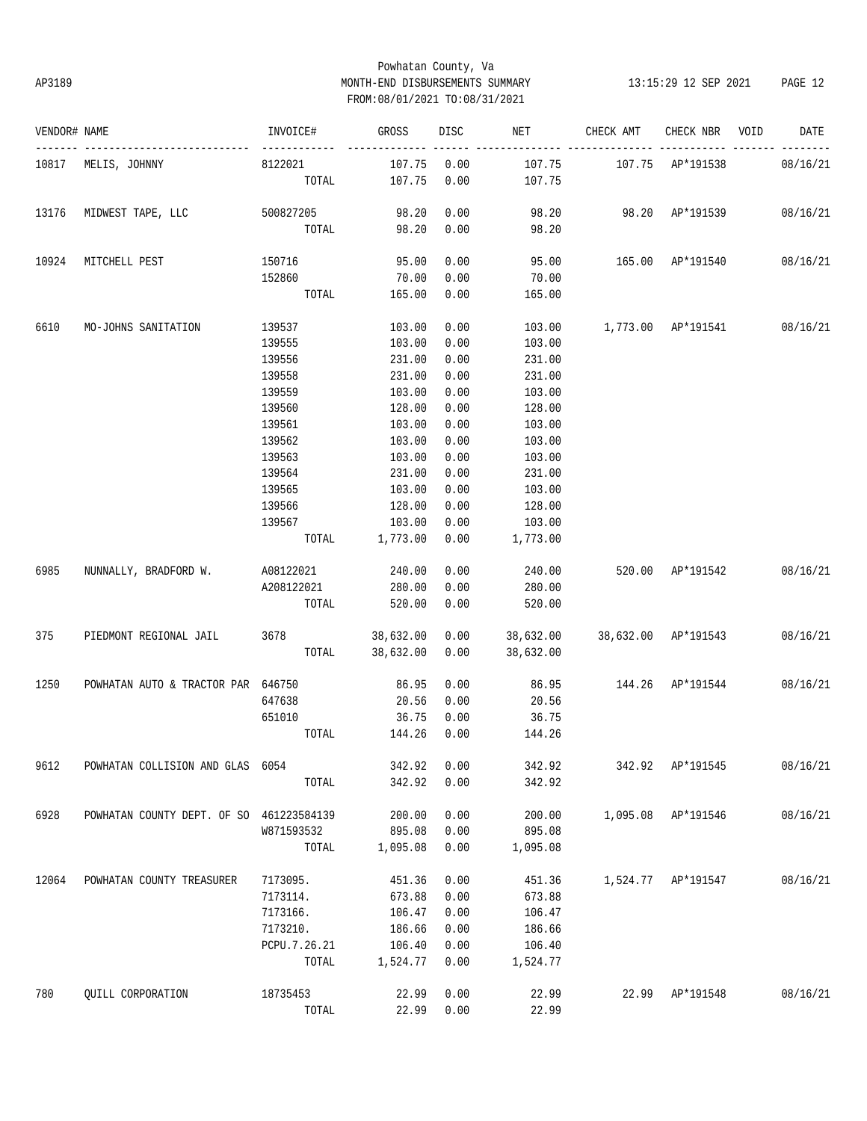## Powhatan County, Va AP3189 MONTH-END DISBURSEMENTS SUMMARY 13:15:29 12 SEP 2021 PAGE 12 FROM:08/01/2021 TO:08/31/2021

| VENDOR# NAME |                                          | INVOICE#                                                                        | GROSS                | DISC | NET                               | CHECK AMT                                | CHECK NBR          | VOID | DATE     |
|--------------|------------------------------------------|---------------------------------------------------------------------------------|----------------------|------|-----------------------------------|------------------------------------------|--------------------|------|----------|
|              | 10817 MELIS, JOHNNY                      | 8122021                                                                         | 107.75               | 0.00 | 107.75                            | 107.75 AP*191538                         |                    |      | 08/16/21 |
|              |                                          | TOTAL                                                                           | 107.75               | 0.00 | 107.75                            |                                          |                    |      |          |
|              | 13176 MIDWEST TAPE, LLC                  | 500827205                                                                       | 98.20                | 0.00 | 98.20  98.20  AP*191539  08/16/21 |                                          |                    |      |          |
|              |                                          | TOTAL 98.20                                                                     |                      | 0.00 | 98.20                             |                                          |                    |      |          |
| 10924        | MITCHELL PEST                            | 150716                                                                          | 95.00                | 0.00 |                                   | 95.00   165.00   AP*191540   08/16/21    |                    |      |          |
|              |                                          | 152860                                                                          | 70.00                | 0.00 | 70.00                             |                                          |                    |      |          |
|              |                                          | TOTAL                                                                           | 165.00               | 0.00 | 165.00                            |                                          |                    |      |          |
| 6610         | MO-JOHNS SANITATION                      | 139537                                                                          | 103.00               | 0.00 |                                   | 103.00   1,773.00   AP*191541   08/16/21 |                    |      |          |
|              |                                          | 139555                                                                          | 103.00               | 0.00 | 103.00                            |                                          |                    |      |          |
|              |                                          | 139556                                                                          | 231.00               | 0.00 | 231.00                            |                                          |                    |      |          |
|              |                                          | 139558                                                                          | 231.00               | 0.00 | 231.00                            |                                          |                    |      |          |
|              |                                          | 139559                                                                          | 103.00               | 0.00 | 103.00                            |                                          |                    |      |          |
|              |                                          | 139560                                                                          | 128.00               | 0.00 | 128.00                            |                                          |                    |      |          |
|              |                                          | 139561                                                                          | 103.00               | 0.00 | 103.00                            |                                          |                    |      |          |
|              |                                          | 139562                                                                          | 103.00               | 0.00 | 103.00                            |                                          |                    |      |          |
|              |                                          | 139563                                                                          | 103.00               | 0.00 | 103.00                            |                                          |                    |      |          |
|              |                                          | 139564                                                                          | 231.00               | 0.00 | 231.00                            |                                          |                    |      |          |
|              |                                          | 139565                                                                          | 103.00               | 0.00 | 103.00                            |                                          |                    |      |          |
|              |                                          | 139566                                                                          | 128.00               | 0.00 | 128.00                            |                                          |                    |      |          |
|              |                                          | 139567                                                                          | 103.00               | 0.00 | 103.00                            |                                          |                    |      |          |
|              |                                          |                                                                                 | TOTAL 1,773.00 0.00  |      | 1,773.00                          |                                          |                    |      |          |
| 6985         | NUNNALLY, BRADFORD W. A08122021 240.00   |                                                                                 |                      | 0.00 | 240.00                            | 520.00 AP*191542 08/16/21                |                    |      |          |
|              |                                          | A208122021 280.00                                                               |                      | 0.00 | 280.00                            |                                          |                    |      |          |
|              |                                          | TOTAL                                                                           | 520.00               | 0.00 | 520.00                            |                                          |                    |      |          |
| 375          | PIEDMONT REGIONAL JAIL                   | $3678$ $38,632.00$ $0.00$ $38,632.00$ $38,632.00$ $\text{AP*191543}$ $08/16/21$ |                      |      |                                   |                                          |                    |      |          |
|              |                                          |                                                                                 | TOTAL 38,632.00 0.00 |      | 38,632.00                         |                                          |                    |      |          |
| 1250         | POWHATAN AUTO & TRACTOR PAR 646750       |                                                                                 | 86.95                | 0.00 |                                   | 86.95 144.26 AP*191544                   |                    |      | 08/16/21 |
|              |                                          | 647638                                                                          | 20.56                | 0.00 | 20.56                             |                                          |                    |      |          |
|              |                                          | 651010                                                                          | 36.75                | 0.00 | 36.75                             |                                          |                    |      |          |
|              |                                          | TOTAL                                                                           | 144.26               | 0.00 | 144.26                            |                                          |                    |      |          |
| 9612         | POWHATAN COLLISION AND GLAS 6054         |                                                                                 | 342.92               | 0.00 | 342.92                            |                                          | 342.92 AP*191545   |      | 08/16/21 |
|              |                                          | TOTAL                                                                           | 342.92               | 0.00 | 342.92                            |                                          |                    |      |          |
| 6928         | POWHATAN COUNTY DEPT. OF SO 461223584139 |                                                                                 | 200.00               | 0.00 | 200.00                            |                                          | 1,095.08 AP*191546 |      | 08/16/21 |
|              |                                          | W871593532                                                                      | 895.08               | 0.00 | 895.08                            |                                          |                    |      |          |
|              |                                          | TOTAL                                                                           | 1,095.08             | 0.00 | 1,095.08                          |                                          |                    |      |          |
| 12064        | POWHATAN COUNTY TREASURER                | 7173095.                                                                        | 451.36               | 0.00 | 451.36                            |                                          | 1,524.77 AP*191547 |      | 08/16/21 |
|              |                                          | 7173114.                                                                        | 673.88               | 0.00 | 673.88                            |                                          |                    |      |          |
|              |                                          | 7173166.                                                                        | 106.47               | 0.00 | 106.47                            |                                          |                    |      |          |
|              |                                          | 7173210.                                                                        | 186.66               | 0.00 | 186.66                            |                                          |                    |      |          |
|              |                                          | PCPU.7.26.21                                                                    | 106.40               | 0.00 | 106.40                            |                                          |                    |      |          |
|              |                                          | TOTAL                                                                           | 1,524.77             | 0.00 | 1,524.77                          |                                          |                    |      |          |
| 780          | QUILL CORPORATION                        | 18735453                                                                        | 22.99                | 0.00 | 22.99                             | 22.99                                    | AP*191548          |      | 08/16/21 |
|              |                                          | TOTAL                                                                           | 22.99                | 0.00 | 22.99                             |                                          |                    |      |          |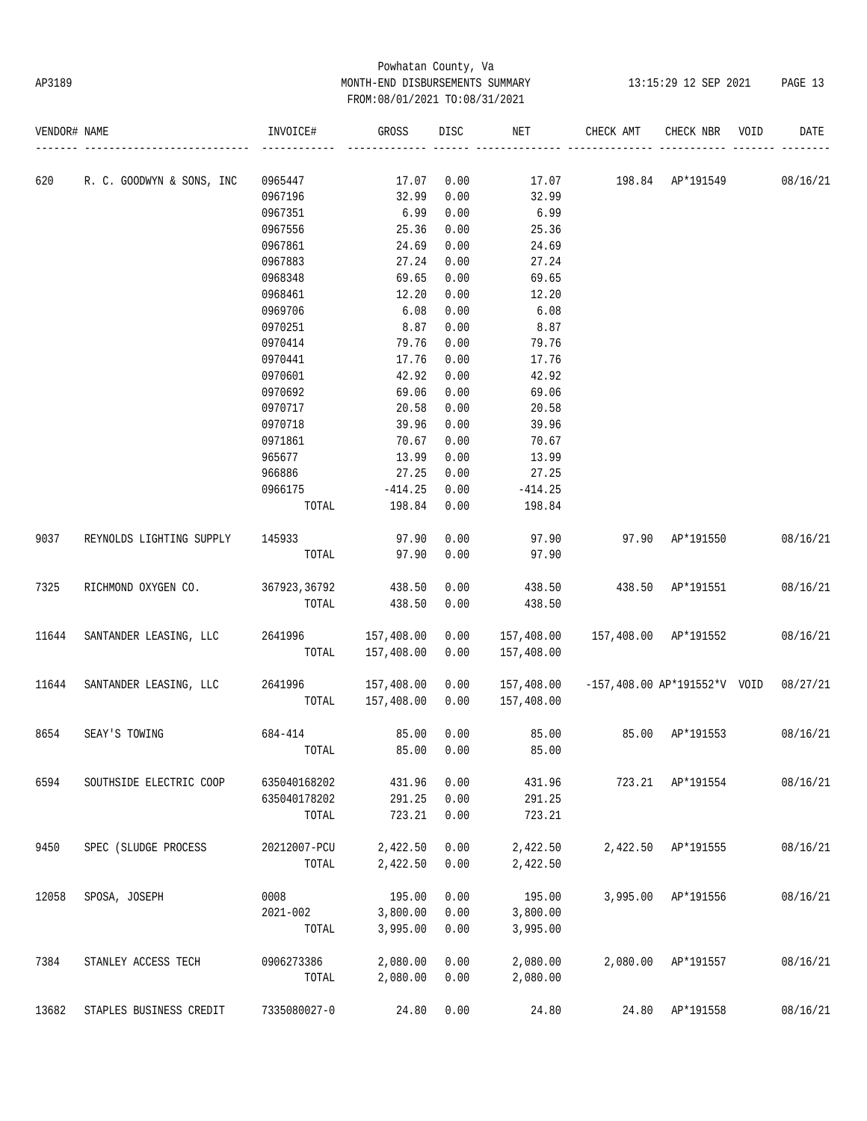# Powhatan County, Va AP3189 MONTH-END DISBURSEMENTS SUMMARY 13:15:29 12 SEP 2021 PAGE 13 FROM:08/01/2021 TO:08/31/2021

| VENDOR# NAME |                           | INVOICE#     | GROSS      | DISC | NET        | CHECK AMT  | CHECK NBR                      | VOID | DATE     |
|--------------|---------------------------|--------------|------------|------|------------|------------|--------------------------------|------|----------|
|              |                           |              |            |      |            |            |                                |      |          |
| 620          | R. C. GOODWYN & SONS, INC | 0965447      | 17.07      | 0.00 | 17.07      | 198.84     | AP*191549                      |      | 08/16/21 |
|              |                           | 0967196      | 32.99      | 0.00 | 32.99      |            |                                |      |          |
|              |                           | 0967351      | 6.99       | 0.00 | 6.99       |            |                                |      |          |
|              |                           | 0967556      | 25.36      | 0.00 | 25.36      |            |                                |      |          |
|              |                           | 0967861      | 24.69      | 0.00 | 24.69      |            |                                |      |          |
|              |                           | 0967883      | 27.24      | 0.00 | 27.24      |            |                                |      |          |
|              |                           | 0968348      | 69.65      | 0.00 | 69.65      |            |                                |      |          |
|              |                           | 0968461      | 12.20      | 0.00 | 12.20      |            |                                |      |          |
|              |                           | 0969706      | 6.08       | 0.00 | 6.08       |            |                                |      |          |
|              |                           | 0970251      | 8.87       | 0.00 | 8.87       |            |                                |      |          |
|              |                           | 0970414      | 79.76      | 0.00 | 79.76      |            |                                |      |          |
|              |                           | 0970441      | 17.76      | 0.00 | 17.76      |            |                                |      |          |
|              |                           | 0970601      | 42.92      | 0.00 | 42.92      |            |                                |      |          |
|              |                           | 0970692      | 69.06      | 0.00 | 69.06      |            |                                |      |          |
|              |                           | 0970717      | 20.58      | 0.00 | 20.58      |            |                                |      |          |
|              |                           | 0970718      | 39.96      | 0.00 | 39.96      |            |                                |      |          |
|              |                           | 0971861      | 70.67      | 0.00 | 70.67      |            |                                |      |          |
|              |                           | 965677       | 13.99      | 0.00 | 13.99      |            |                                |      |          |
|              |                           | 966886       | 27.25      | 0.00 | 27.25      |            |                                |      |          |
|              |                           | 0966175      | $-414.25$  | 0.00 | $-414.25$  |            |                                |      |          |
|              |                           | TOTAL        | 198.84     | 0.00 | 198.84     |            |                                |      |          |
| 9037         | REYNOLDS LIGHTING SUPPLY  | 145933       | 97.90      | 0.00 | 97.90      | 97.90      | AP*191550                      |      | 08/16/21 |
|              |                           | TOTAL        | 97.90      | 0.00 | 97.90      |            |                                |      |          |
| 7325         | RICHMOND OXYGEN CO.       | 367923,36792 | 438.50     | 0.00 | 438.50     | 438.50     | AP*191551                      |      | 08/16/21 |
|              |                           | TOTAL        | 438.50     | 0.00 | 438.50     |            |                                |      |          |
| 11644        | SANTANDER LEASING, LLC    | 2641996      | 157,408.00 | 0.00 | 157,408.00 | 157,408.00 | AP*191552                      |      | 08/16/21 |
|              |                           | TOTAL        | 157,408.00 | 0.00 | 157,408.00 |            |                                |      |          |
| 11644        | SANTANDER LEASING, LLC    | 2641996      | 157,408.00 | 0.00 | 157,408.00 |            | $-157,408.00$ AP*191552*V VOID |      | 08/27/21 |
|              |                           | TOTAL        | 157,408.00 | 0.00 | 157,408.00 |            |                                |      |          |
| 8654         | SEAY'S TOWING             | 684-414      | 85.00      | 0.00 | 85.00      | 85.00      | AP*191553                      |      | 08/16/21 |
|              |                           | TOTAL        | 85.00      | 0.00 | 85.00      |            |                                |      |          |
| 6594         | SOUTHSIDE ELECTRIC COOP   | 635040168202 | 431.96     | 0.00 | 431.96     | 723.21     | AP*191554                      |      | 08/16/21 |
|              |                           | 635040178202 | 291.25     | 0.00 | 291.25     |            |                                |      |          |
|              |                           | TOTAL        | 723.21     | 0.00 | 723.21     |            |                                |      |          |
| 9450         | SPEC (SLUDGE PROCESS      | 20212007-PCU | 2,422.50   | 0.00 | 2,422.50   | 2,422.50   | AP*191555                      |      | 08/16/21 |
|              |                           | TOTAL        | 2,422.50   | 0.00 | 2,422.50   |            |                                |      |          |
| 12058        | SPOSA, JOSEPH             | 0008         | 195.00     | 0.00 | 195.00     | 3,995.00   | AP*191556                      |      | 08/16/21 |
|              |                           | $2021 - 002$ | 3,800.00   | 0.00 | 3,800.00   |            |                                |      |          |
|              |                           | TOTAL        | 3,995.00   | 0.00 | 3,995.00   |            |                                |      |          |
| 7384         | STANLEY ACCESS TECH       | 0906273386   | 2,080.00   | 0.00 | 2,080.00   |            | 2,080.00 AP*191557             |      | 08/16/21 |
|              |                           | TOTAL        | 2,080.00   | 0.00 | 2,080.00   |            |                                |      |          |
| 13682        | STAPLES BUSINESS CREDIT   | 7335080027-0 | 24.80      | 0.00 | 24.80      |            | 24.80 AP*191558                |      | 08/16/21 |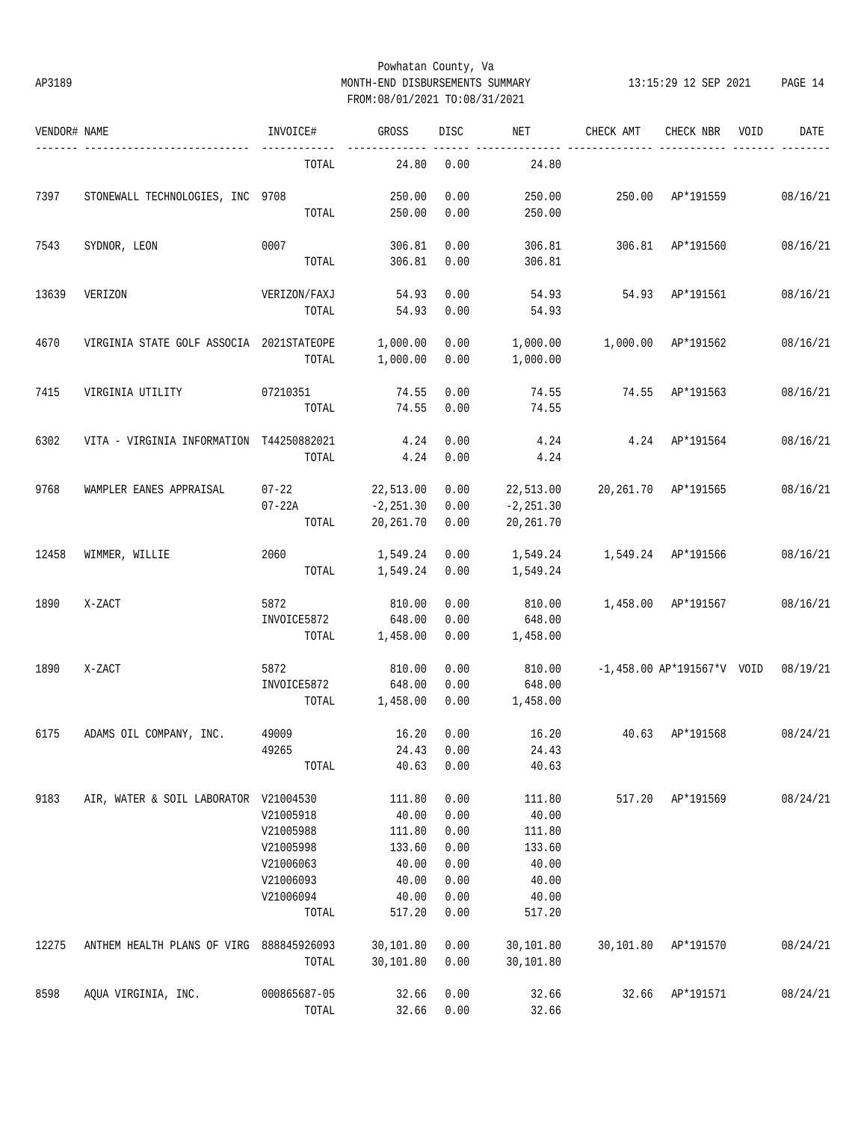## Powhatan County, Va AP3189 MONTH-END DISBURSEMENTS SUMMARY 13:15:29 12 SEP 2021 PAGE 14 FROM:08/01/2021 TO:08/31/2021

| VENDOR# NAME |                                          | INVOICE#               | GROSS          | DISC | NET          | CHECK AMT          | CHECK NBR                             | VOID | DATE     |
|--------------|------------------------------------------|------------------------|----------------|------|--------------|--------------------|---------------------------------------|------|----------|
|              |                                          | TOTAL                  | 24.80          | 0.00 | 24.80        |                    |                                       |      |          |
| 7397         | STONEWALL TECHNOLOGIES, INC 9708         |                        | 250.00         | 0.00 | 250.00       | 250.00 AP*191559   |                                       |      | 08/16/21 |
|              |                                          | TOTAL                  | 250.00         | 0.00 | 250.00       |                    |                                       |      |          |
| 7543         | SYDNOR, LEON                             | 0007                   | 306.81         | 0.00 | 306.81       | 306.81 AP*191560   |                                       |      | 08/16/21 |
|              |                                          | TOTAL                  | 306.81         | 0.00 | 306.81       |                    |                                       |      |          |
| 13639        | VERIZON                                  | VERIZON/FAXJ           | 54.93          | 0.00 | 54.93        |                    | 54.93 AP*191561                       |      | 08/16/21 |
|              |                                          | TOTAL                  | 54.93          | 0.00 | 54.93        |                    |                                       |      |          |
| 4670         | VIRGINIA STATE GOLF ASSOCIA 2021STATEOPE |                        | 1,000.00       | 0.00 | 1,000.00     | 1,000.00 AP*191562 |                                       |      | 08/16/21 |
|              |                                          | TOTAL                  | 1,000.00       | 0.00 | 1,000.00     |                    |                                       |      |          |
| 7415         | VIRGINIA UTILITY                         | 07210351               | 74.55          | 0.00 | 74.55        | 74.55 AP*191563    |                                       |      | 08/16/21 |
|              |                                          | TOTAL                  | 74.55          | 0.00 | 74.55        |                    |                                       |      |          |
| 6302         | VITA - VIRGINIA INFORMATION T44250882021 |                        | 4.24           | 0.00 | 4.24         |                    | $4.24$ $AP*191564$                    |      | 08/16/21 |
|              |                                          | TOTAL                  | 4.24           | 0.00 | 4.24         |                    |                                       |      |          |
| 9768         | WAMPLER EANES APPRAISAL                  | $07 - 22$              | 22,513.00      | 0.00 | 22,513.00    |                    | 20,261.70 AP*191565                   |      | 08/16/21 |
|              |                                          | $07 - 22A$             | $-2, 251.30$   | 0.00 | $-2, 251.30$ |                    |                                       |      |          |
|              |                                          | TOTAL                  | 20, 261.70     | 0.00 | 20,261.70    |                    |                                       |      |          |
| 12458        | WIMMER, WILLIE                           | 2060                   | 1,549.24       | 0.00 | 1,549.24     | 1,549.24 AP*191566 |                                       |      | 08/16/21 |
|              |                                          |                        | TOTAL 1,549.24 | 0.00 | 1,549.24     |                    |                                       |      |          |
| 1890         | X-ZACT                                   | 5872                   | 810.00         | 0.00 | 810.00       | 1,458.00 AP*191567 |                                       |      | 08/16/21 |
|              |                                          | INVOICE5872            | 648.00         | 0.00 | 648.00       |                    |                                       |      |          |
|              |                                          | TOTAL                  | 1,458.00       | 0.00 | 1,458.00     |                    |                                       |      |          |
| 1890         | X-ZACT                                   | 5872                   | 810.00         | 0.00 | 810.00       |                    | $-1,458.00$ AP*191567*V VOID 08/19/21 |      |          |
|              |                                          | INVOICE5872            | 648.00         | 0.00 | 648.00       |                    |                                       |      |          |
|              |                                          | TOTAL                  | 1,458.00       | 0.00 | 1,458.00     |                    |                                       |      |          |
| 6175         | ADAMS OIL COMPANY, INC.                  | 49009                  | 16.20          | 0.00 | 16.20        | 40.63 AP*191568    |                                       |      | 08/24/21 |
|              |                                          | 49265 24.43 0.00 24.43 |                |      |              |                    |                                       |      |          |
|              |                                          | TOTAL                  | 40.63          | 0.00 | 40.63        |                    |                                       |      |          |
| 9183         | AIR, WATER & SOIL LABORATOR V21004530    |                        | 111.80         | 0.00 | 111.80       | 517.20             | AP*191569                             |      | 08/24/21 |
|              |                                          | V21005918              | 40.00          | 0.00 | 40.00        |                    |                                       |      |          |
|              |                                          | V21005988              | 111.80         | 0.00 | 111.80       |                    |                                       |      |          |
|              |                                          | V21005998              | 133.60         | 0.00 | 133.60       |                    |                                       |      |          |
|              |                                          | V21006063              | 40.00          | 0.00 | 40.00        |                    |                                       |      |          |
|              |                                          | V21006093              | 40.00          | 0.00 | 40.00        |                    |                                       |      |          |
|              |                                          | V21006094              | 40.00          | 0.00 | 40.00        |                    |                                       |      |          |
|              |                                          | TOTAL                  | 517.20         | 0.00 | 517.20       |                    |                                       |      |          |
| 12275        | ANTHEM HEALTH PLANS OF VIRG              | 888845926093           | 30,101.80      | 0.00 | 30,101.80    | 30,101.80          | AP*191570                             |      | 08/24/21 |
|              |                                          | TOTAL                  | 30,101.80      | 0.00 | 30,101.80    |                    |                                       |      |          |
| 8598         | AQUA VIRGINIA, INC.                      | 000865687-05           | 32.66          | 0.00 | 32.66        | 32.66              | AP*191571                             |      | 08/24/21 |
|              |                                          | TOTAL                  | 32.66          | 0.00 | 32.66        |                    |                                       |      |          |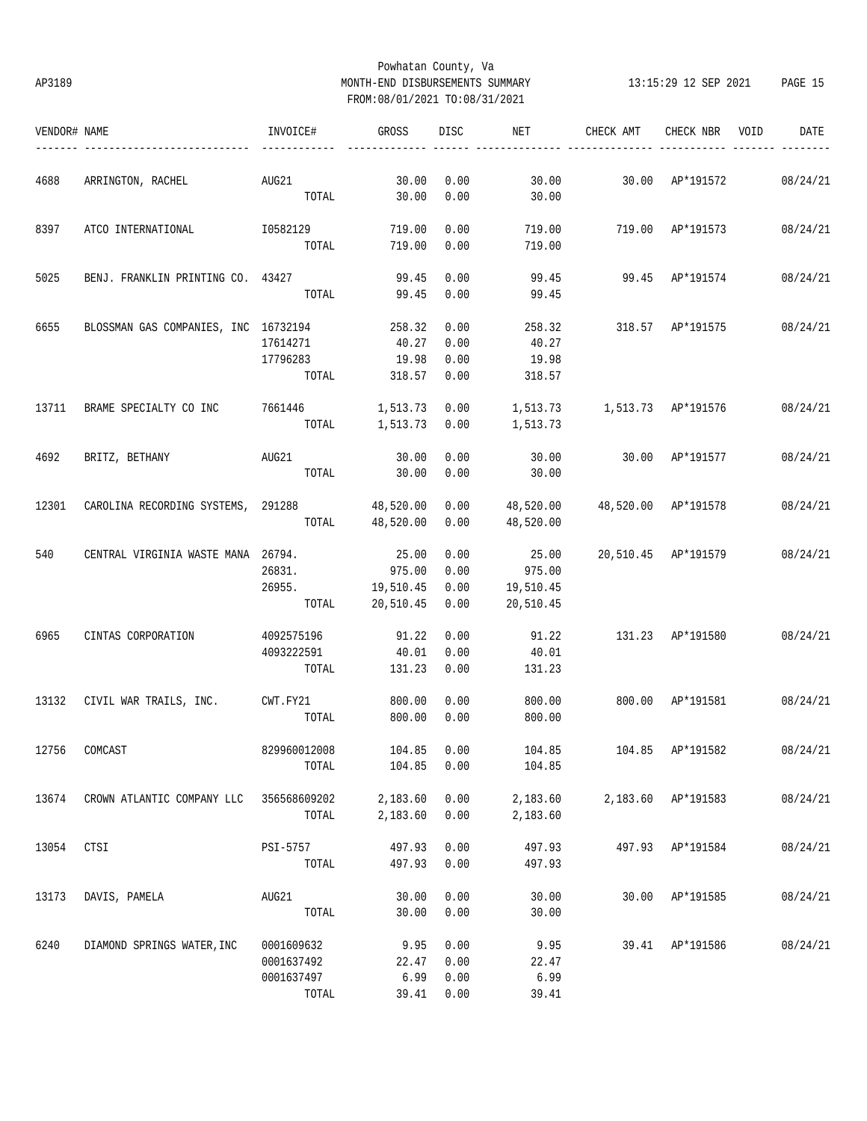# Powhatan County, Va AP3189 MONTH-END DISBURSEMENTS SUMMARY 13:15:29 12 SEP 2021 PAGE 15 FROM:08/01/2021 TO:08/31/2021

| VENDOR# NAME |                                              | INVOICE#                 | GROSS                | DISC         | NET                               | CHECK AMT                   | CHECK NBR VOID      | DATE     |
|--------------|----------------------------------------------|--------------------------|----------------------|--------------|-----------------------------------|-----------------------------|---------------------|----------|
| 4688         |                                              |                          |                      |              |                                   |                             |                     |          |
|              | ARRINGTON, RACHEL                            | AUG21<br>TOTAL           | 30.00<br>30.00       | 0.00<br>0.00 | 30.00<br>30.00                    |                             | 30.00 AP*191572     | 08/24/21 |
| 8397         | ATCO INTERNATIONAL                           | I0582129                 | 719.00               | 0.00         | 719.00                            | 719.00 AP*191573            |                     | 08/24/21 |
|              |                                              | TOTAL                    | 719.00               | 0.00         | 719.00                            |                             |                     |          |
| 5025         | BENJ. FRANKLIN PRINTING CO. 43427            |                          | 99.45                | 0.00         | 99.45                             | 99.45 AP*191574             |                     | 08/24/21 |
|              |                                              | TOTAL                    | 99.45                | 0.00         | 99.45                             |                             |                     |          |
| 6655         | BLOSSMAN GAS COMPANIES, INC 16732194         |                          | 258.32               | 0.00         | 258.32                            | 318.57 AP*191575            |                     | 08/24/21 |
|              |                                              | 17614271                 | 40.27                | 0.00         | 40.27                             |                             |                     |          |
|              |                                              | 17796283                 | 19.98                | 0.00         | 19.98                             |                             |                     |          |
|              |                                              | TOTAL                    | 318.57 0.00          |              | 318.57                            |                             |                     |          |
| 13711        | BRAME SPECIALTY CO INC                       | 7661446                  | 1,513.73 0.00        |              | 1,513.73    1,513.73    AP*191576 |                             |                     | 08/24/21 |
|              |                                              |                          |                      |              | TOTAL 1,513.73 0.00 1,513.73      |                             |                     |          |
| 4692         | BRITZ, BETHANY                               | AUG21                    | 30.00                | 0.00         | 30.00                             | 30.00 AP*191577             |                     | 08/24/21 |
|              |                                              | TOTAL                    | 30.00                | 0.00         | 30.00                             |                             |                     |          |
| 12301        | CAROLINA RECORDING SYSTEMS, 291288 48,520.00 |                          |                      | 0.00         | 48,520.00                         |                             | 48,520.00 AP*191578 | 08/24/21 |
|              |                                              |                          | TOTAL 48,520.00      | 0.00         | 48,520.00                         |                             |                     |          |
|              |                                              |                          |                      |              |                                   |                             |                     |          |
| 540          | CENTRAL VIRGINIA WASTE MANA 26794.           |                          | 25.00                | 0.00         | 25.00                             |                             | 20,510.45 AP*191579 | 08/24/21 |
|              |                                              | 26831.                   | 975.00               | 0.00         | 975.00                            |                             |                     |          |
|              |                                              | 26955. 19,510.45         |                      | 0.00         | 19,510.45                         |                             |                     |          |
|              |                                              |                          | TOTAL 20,510.45 0.00 |              | 20,510.45                         |                             |                     |          |
| 6965         | CINTAS CORPORATION                           | 4092575196               | 91.22                | 0.00         | 91.22                             | 131.23 AP*191580            |                     | 08/24/21 |
|              |                                              | 4093222591               | 40.01                | 0.00         | 40.01                             |                             |                     |          |
|              |                                              | TOTAL                    | 131.23               | 0.00         | 131.23                            |                             |                     |          |
|              | 13132 CIVIL WAR TRAILS, INC. CWT.FY21        |                          | 800.00               | 0.00         | 800.00                            | 800.00 AP*191581 08/24/21   |                     |          |
|              |                                              | TOTAL                    | 800.00               | 0.00         | 800.00                            |                             |                     |          |
|              | 12756 COMCAST                                | 829960012008 104.85 0.00 |                      |              | 104.85                            | 104.85 AP*191582 08/24/21   |                     |          |
|              |                                              | TOTAL                    | 104.85               | 0.00         | 104.85                            |                             |                     |          |
| 13674        | CROWN ATLANTIC COMPANY LLC 356568609202      |                          | 2,183.60 0.00        |              |                                   | 2,183.60 2,183.60 AP*191583 |                     | 08/24/21 |
|              |                                              | TOTAL                    | 2,183.60             | 0.00         | 2,183.60                          |                             |                     |          |
| 13054        | CTSI                                         | PSI-5757                 | 497.93               | 0.00         | 497.93                            |                             | 497.93 AP*191584    | 08/24/21 |
|              |                                              | TOTAL                    | 497.93               | 0.00         | 497.93                            |                             |                     |          |
| 13173        | DAVIS, PAMELA                                | AUG21                    | 30.00                | 0.00         | 30.00                             |                             | 30.00 AP*191585     | 08/24/21 |
|              |                                              | TOTAL                    | 30.00                | 0.00         | 30.00                             |                             |                     |          |
| 6240         | DIAMOND SPRINGS WATER, INC                   | 0001609632               | 9.95                 | 0.00         | 9.95                              |                             | 39.41 AP*191586     | 08/24/21 |
|              |                                              | 0001637492               | 22.47                | 0.00         | 22.47                             |                             |                     |          |
|              |                                              |                          |                      |              |                                   |                             |                     |          |
|              |                                              | 0001637497               | 6.99                 | 0.00         | 6.99                              |                             |                     |          |
|              |                                              | TOTAL                    |                      | 39.41 0.00   | 39.41                             |                             |                     |          |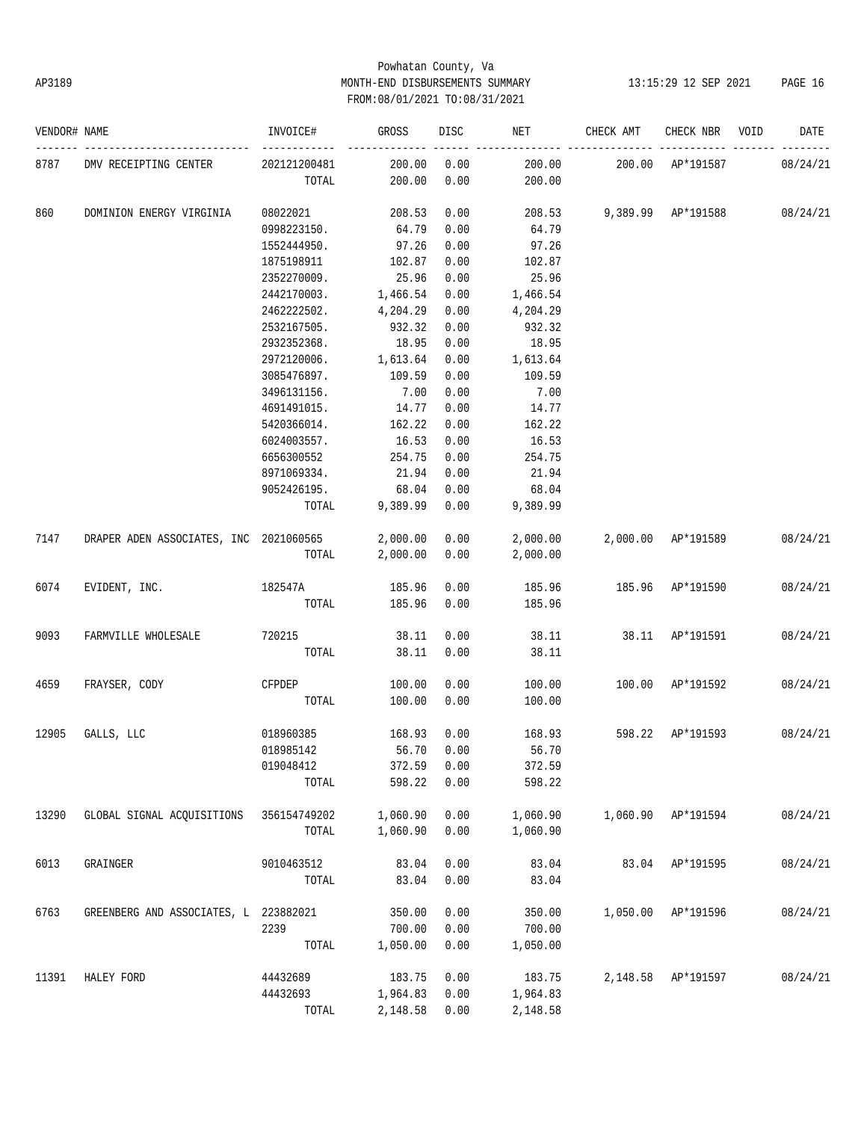# Powhatan County, Va AP3189 MONTH-END DISBURSEMENTS SUMMARY 13:15:29 12 SEP 2021 PAGE 16 FROM:08/01/2021 TO:08/31/2021

| VENDOR# NAME |                                        | INVOICE#     | GROSS    | DISC | NET      | CHECK AMT        | CHECK NBR          | VOID | DATE     |
|--------------|----------------------------------------|--------------|----------|------|----------|------------------|--------------------|------|----------|
| 8787         | DMV RECEIPTING CENTER                  | 202121200481 | 200.00   | 0.00 | 200.00   |                  | 200.00 AP*191587   |      | 08/24/21 |
|              |                                        | TOTAL        | 200.00   | 0.00 | 200.00   |                  |                    |      |          |
| 860          | DOMINION ENERGY VIRGINIA               | 08022021     | 208.53   | 0.00 | 208.53   |                  | 9,389.99 AP*191588 |      | 08/24/21 |
|              |                                        | 0998223150.  | 64.79    | 0.00 | 64.79    |                  |                    |      |          |
|              |                                        | 1552444950.  | 97.26    | 0.00 | 97.26    |                  |                    |      |          |
|              |                                        | 1875198911   | 102.87   | 0.00 | 102.87   |                  |                    |      |          |
|              |                                        | 2352270009.  | 25.96    | 0.00 | 25.96    |                  |                    |      |          |
|              |                                        | 2442170003.  | 1,466.54 | 0.00 | 1,466.54 |                  |                    |      |          |
|              |                                        | 2462222502.  | 4,204.29 | 0.00 | 4,204.29 |                  |                    |      |          |
|              |                                        | 2532167505.  | 932.32   | 0.00 | 932.32   |                  |                    |      |          |
|              |                                        | 2932352368.  | 18.95    | 0.00 | 18.95    |                  |                    |      |          |
|              |                                        | 2972120006.  | 1,613.64 | 0.00 | 1,613.64 |                  |                    |      |          |
|              |                                        | 3085476897.  | 109.59   | 0.00 | 109.59   |                  |                    |      |          |
|              |                                        | 3496131156.  | 7.00     | 0.00 | 7.00     |                  |                    |      |          |
|              |                                        | 4691491015.  | 14.77    | 0.00 | 14.77    |                  |                    |      |          |
|              |                                        | 5420366014.  | 162.22   | 0.00 | 162.22   |                  |                    |      |          |
|              |                                        | 6024003557.  | 16.53    | 0.00 | 16.53    |                  |                    |      |          |
|              |                                        | 6656300552   | 254.75   | 0.00 | 254.75   |                  |                    |      |          |
|              |                                        |              | 21.94    | 0.00 | 21.94    |                  |                    |      |          |
|              |                                        | 8971069334.  | 68.04    | 0.00 | 68.04    |                  |                    |      |          |
|              |                                        | 9052426195.  |          |      |          |                  |                    |      |          |
|              |                                        | TOTAL        | 9,389.99 | 0.00 | 9,389.99 |                  |                    |      |          |
| 7147         | DRAPER ADEN ASSOCIATES, INC 2021060565 |              | 2,000.00 | 0.00 | 2,000.00 |                  | 2,000.00 AP*191589 |      | 08/24/21 |
|              |                                        | TOTAL        | 2,000.00 | 0.00 | 2,000.00 |                  |                    |      |          |
| 6074         | EVIDENT, INC.                          | 182547A      | 185.96   | 0.00 | 185.96   | 185.96 AP*191590 |                    |      | 08/24/21 |
|              |                                        | TOTAL        | 185.96   | 0.00 | 185.96   |                  |                    |      |          |
| 9093         | FARMVILLE WHOLESALE                    | 720215       | 38.11    | 0.00 | 38.11    | 38.11            | AP*191591          |      | 08/24/21 |
|              |                                        | TOTAL        | 38.11    | 0.00 | 38.11    |                  |                    |      |          |
| 4659         | FRAYSER, CODY                          | CFPDEP       | 100.00   | 0.00 | 100.00   | 100.00           | AP*191592          |      | 08/24/21 |
|              |                                        | TOTAL        | 100.00   | 0.00 | 100.00   |                  |                    |      |          |
| 12905        | GALLS, LLC                             | 018960385    | 168.93   | 0.00 | 168.93   | 598.22           | AP*191593          |      | 08/24/21 |
|              |                                        | 018985142    | 56.70    | 0.00 | 56.70    |                  |                    |      |          |
|              |                                        | 019048412    | 372.59   | 0.00 | 372.59   |                  |                    |      |          |
|              |                                        | TOTAL        | 598.22   | 0.00 | 598.22   |                  |                    |      |          |
| 13290        | GLOBAL SIGNAL ACQUISITIONS             | 356154749202 | 1,060.90 | 0.00 | 1,060.90 | 1,060.90         | AP*191594          |      | 08/24/21 |
|              |                                        | TOTAL        | 1,060.90 | 0.00 | 1,060.90 |                  |                    |      |          |
| 6013         | GRAINGER                               | 9010463512   | 83.04    | 0.00 | 83.04    | 83.04            | AP*191595          |      | 08/24/21 |
|              |                                        | TOTAL        | 83.04    | 0.00 | 83.04    |                  |                    |      |          |
|              |                                        |              |          |      |          |                  |                    |      |          |
| 6763         | GREENBERG AND ASSOCIATES, L 223882021  |              | 350.00   | 0.00 | 350.00   | 1,050.00         | AP*191596          |      | 08/24/21 |
|              |                                        | 2239         | 700.00   | 0.00 | 700.00   |                  |                    |      |          |
|              |                                        | TOTAL        | 1,050.00 | 0.00 | 1,050.00 |                  |                    |      |          |
| 11391        | HALEY FORD                             | 44432689     | 183.75   | 0.00 | 183.75   | 2,148.58         | AP*191597          |      | 08/24/21 |
|              |                                        | 44432693     | 1,964.83 | 0.00 | 1,964.83 |                  |                    |      |          |
|              |                                        | TOTAL        | 2,148.58 | 0.00 | 2,148.58 |                  |                    |      |          |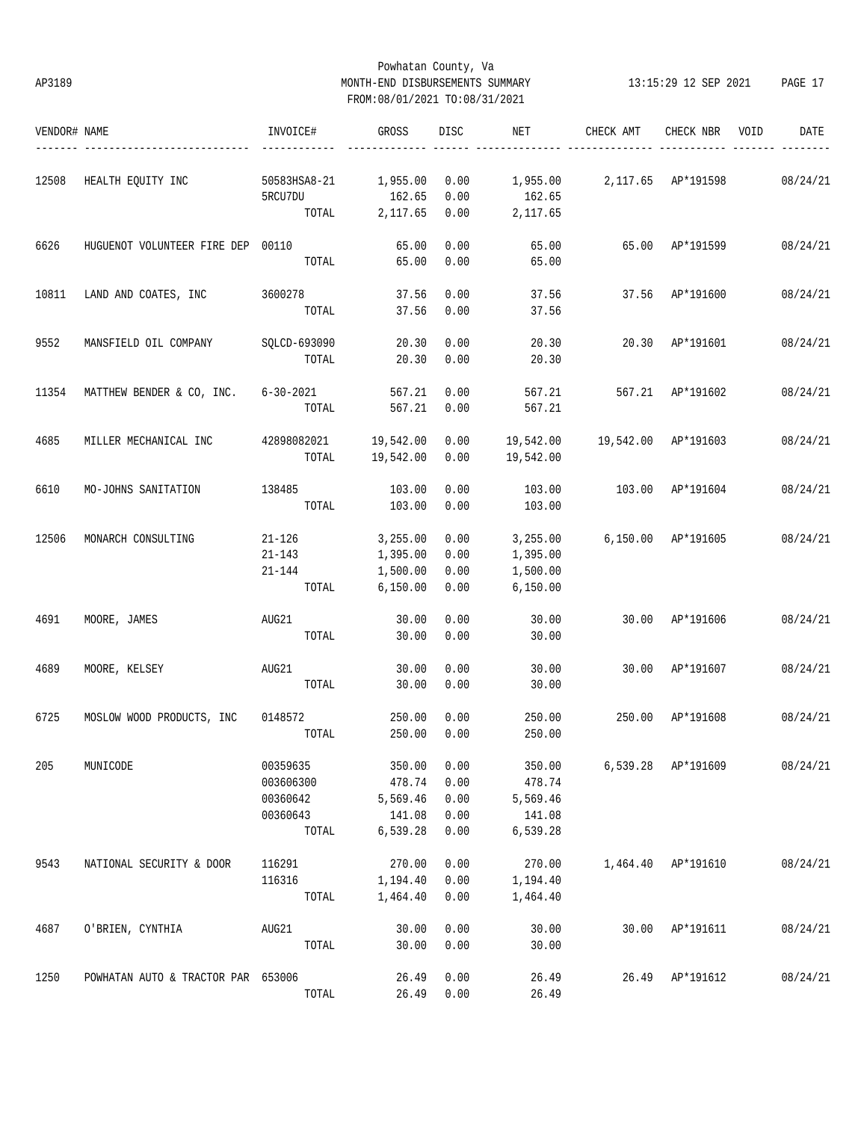## Powhatan County, Va AP3189 MONTH-END DISBURSEMENTS SUMMARY 13:15:29 12 SEP 2021 PAGE 17 FROM:08/01/2021 TO:08/31/2021

| VENDOR# NAME |                                            | INVOICE#              | GROSS     | DISC | NET       | CHECK AMT                           | CHECK NBR       | VOID | DATE     |
|--------------|--------------------------------------------|-----------------------|-----------|------|-----------|-------------------------------------|-----------------|------|----------|
| 12508        | HEALTH EQUITY INC                          | 50583HSA8-21          | 1,955.00  | 0.00 |           |                                     |                 |      | 08/24/21 |
|              |                                            | 5RCU7DU               | 162.65    | 0.00 | 162.65    |                                     |                 |      |          |
|              |                                            | TOTAL                 | 2,117.65  | 0.00 | 2,117.65  |                                     |                 |      |          |
| 6626         | HUGUENOT VOLUNTEER FIRE DEP 00110          |                       | 65.00     | 0.00 | 65.00     | 65.00 AP*191599                     |                 |      | 08/24/21 |
|              |                                            | TOTAL                 | 65.00     | 0.00 | 65.00     |                                     |                 |      |          |
| 10811        | LAND AND COATES, INC                       | 3600278               | 37.56     | 0.00 | 37.56     |                                     | 37.56 AP*191600 |      | 08/24/21 |
|              |                                            | TOTAL                 | 37.56     | 0.00 | 37.56     |                                     |                 |      |          |
| 9552         | MANSFIELD OIL COMPANY                      | SQLCD-693090          | 20.30     | 0.00 | 20.30     | 20.30 AP*191601                     |                 |      | 08/24/21 |
|              |                                            | TOTAL                 | 20.30     | 0.00 | 20.30     |                                     |                 |      |          |
| 11354        | MATTHEW BENDER & CO, INC. 6-30-2021 567.21 |                       |           | 0.00 | 567.21    | 567.21 AP*191602                    |                 |      | 08/24/21 |
|              |                                            | TOTAL                 | 567.21    | 0.00 | 567.21    |                                     |                 |      |          |
| 4685         | MILLER MECHANICAL INC                      | 42898082021 19,542.00 |           | 0.00 |           | 19,542.00    19,542.00    AP*191603 |                 |      | 08/24/21 |
|              |                                            | TOTAL                 | 19,542.00 | 0.00 | 19,542.00 |                                     |                 |      |          |
| 6610         | MO-JOHNS SANITATION                        | 138485                | 103.00    | 0.00 | 103.00    | 103.00 AP*191604                    |                 |      | 08/24/21 |
|              |                                            | TOTAL                 | 103.00    | 0.00 | 103.00    |                                     |                 |      |          |
| 12506        | MONARCH CONSULTING                         | $21 - 126$            | 3,255.00  | 0.00 | 3,255.00  | 6,150.00 AP*191605                  |                 |      | 08/24/21 |
|              |                                            | 21-143                | 1,395.00  | 0.00 | 1,395.00  |                                     |                 |      |          |
|              |                                            | 21-144                | 1,500.00  | 0.00 | 1,500.00  |                                     |                 |      |          |
|              |                                            | TOTAL                 | 6,150.00  | 0.00 | 6,150.00  |                                     |                 |      |          |
| 4691         | MOORE, JAMES                               | AUG21                 | 30.00     | 0.00 | 30.00     |                                     | 30.00 AP*191606 |      | 08/24/21 |
|              |                                            | TOTAL                 | 30.00     | 0.00 | 30.00     |                                     |                 |      |          |
| 4689         | MOORE, KELSEY                              | AUG21                 | 30.00     | 0.00 | 30.00     | 30.00 AP*191607                     |                 |      | 08/24/21 |
|              |                                            | TOTAL                 | 30.00     | 0.00 | 30.00     |                                     |                 |      |          |
| 6725         | MOSLOW WOOD PRODUCTS, INC 0148572          |                       | 250.00    | 0.00 | 250.00    | 250.00                              | AP*191608       |      | 08/24/21 |
|              |                                            | TOTAL                 | 250.00    | 0.00 | 250.00    |                                     |                 |      |          |
| 205          | MUNICODE                                   | 00359635              | 350.00    | 0.00 | 350.00    | 6,539.28                            | AP*191609       |      | 08/24/21 |
|              |                                            | 003606300             | 478.74    | 0.00 | 478.74    |                                     |                 |      |          |
|              |                                            | 00360642              | 5,569.46  | 0.00 | 5,569.46  |                                     |                 |      |          |
|              |                                            | 00360643              | 141.08    | 0.00 | 141.08    |                                     |                 |      |          |
|              |                                            | TOTAL                 | 6,539.28  | 0.00 | 6,539.28  |                                     |                 |      |          |
| 9543         | NATIONAL SECURITY & DOOR                   | 116291                | 270.00    | 0.00 | 270.00    | 1,464.40                            | AP*191610       |      | 08/24/21 |
|              |                                            | 116316                | 1,194.40  | 0.00 | 1,194.40  |                                     |                 |      |          |
|              |                                            | TOTAL                 | 1,464.40  | 0.00 | 1,464.40  |                                     |                 |      |          |
| 4687         | O'BRIEN, CYNTHIA                           | AUG21                 | 30.00     | 0.00 | 30.00     | 30.00                               | AP*191611       |      | 08/24/21 |
|              |                                            | TOTAL                 | 30.00     | 0.00 | 30.00     |                                     |                 |      |          |
| 1250         | POWHATAN AUTO & TRACTOR PAR 653006         |                       | 26.49     | 0.00 | 26.49     | 26.49                               | AP*191612       |      | 08/24/21 |
|              |                                            | TOTAL                 | 26.49     | 0.00 | 26.49     |                                     |                 |      |          |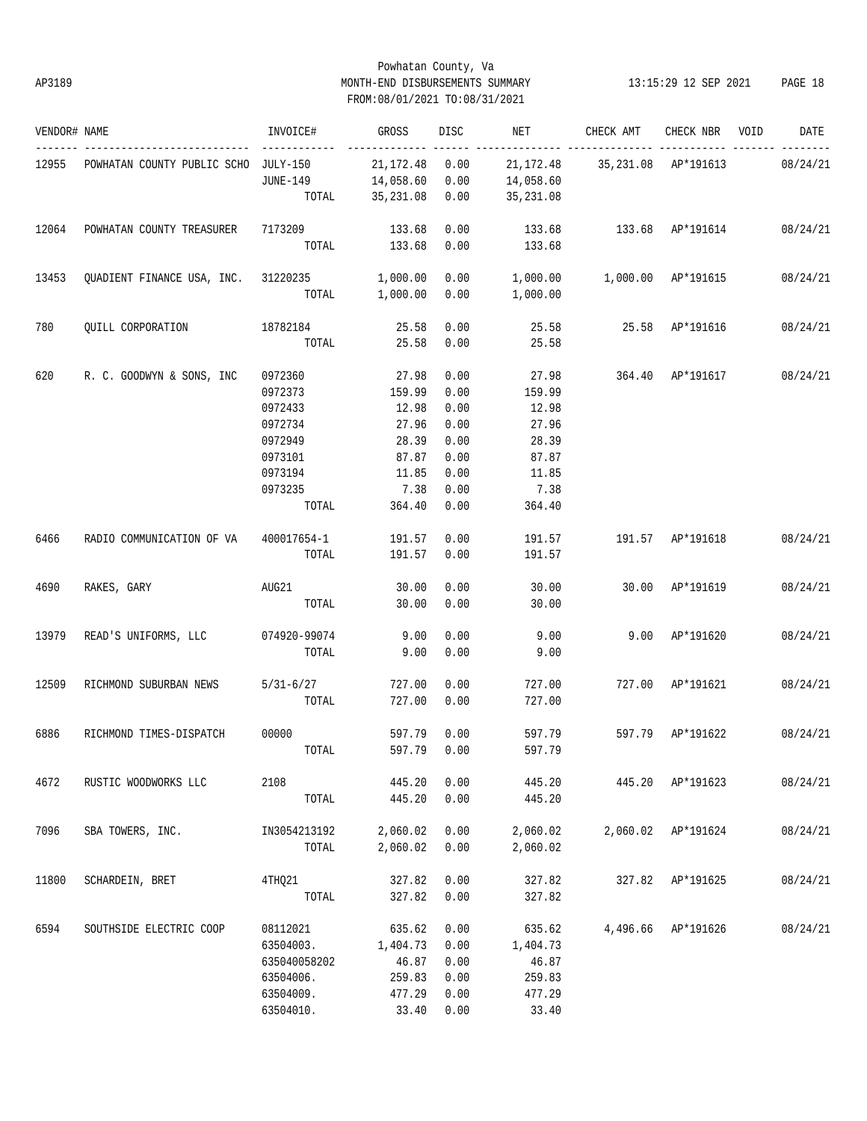## Powhatan County, Va AP3189 MONTH-END DISBURSEMENTS SUMMARY 13:15:29 12 SEP 2021 PAGE 18 FROM:08/01/2021 TO:08/31/2021

| VENDOR# NAME |                                              | INVOICE#           | GROSS                | DISC | NET                                    | CHECK AMT                     | CHECK NBR VOID     | DATE     |
|--------------|----------------------------------------------|--------------------|----------------------|------|----------------------------------------|-------------------------------|--------------------|----------|
| 12955        | POWHATAN COUNTY PUBLIC SCHO JULY-150         | ------------       | 21, 172. 48 0.00     |      |                                        | 21,172.48 35,231.08 AP*191613 |                    | 08/24/21 |
|              |                                              | JUNE-149           | 14,058.60 0.00       |      | 14,058.60                              |                               |                    |          |
|              |                                              |                    | TOTAL 35,231.08 0.00 |      | 35,231.08                              |                               |                    |          |
| 12064        | POWHATAN COUNTY TREASURER 7173209 133.68     |                    |                      | 0.00 | 133.68   133.68   AP*191614   08/24/21 |                               |                    |          |
|              |                                              |                    | TOTAL 133.68         | 0.00 | 133.68                                 |                               |                    |          |
| 13453        | QUADIENT FINANCE USA, INC. 31220235 1,000.00 |                    |                      | 0.00 | $1,000.00$ $1,000.00$ $AP*191615$      |                               |                    | 08/24/21 |
|              |                                              |                    | TOTAL 1,000.00       | 0.00 | 1,000.00                               |                               |                    |          |
| 780          | QUILL CORPORATION 18782184                   |                    | 25.58                | 0.00 |                                        |                               |                    | 08/24/21 |
|              |                                              | TOTAL              | 25.58                | 0.00 | 25.58                                  |                               |                    |          |
| 620          | R. C. GOODWYN & SONS, INC                    | 0972360            | 27.98                | 0.00 | 27.98                                  | 364.40 AP*191617              |                    | 08/24/21 |
|              |                                              | 0972373            | 159.99               | 0.00 | 159.99                                 |                               |                    |          |
|              |                                              | 0972433            | 12.98                | 0.00 | 12.98                                  |                               |                    |          |
|              |                                              | 0972734            | 27.96                | 0.00 | 27.96                                  |                               |                    |          |
|              |                                              | 0972949            | 28.39                | 0.00 | 28.39                                  |                               |                    |          |
|              |                                              | 0973101            | 87.87                | 0.00 | 87.87                                  |                               |                    |          |
|              |                                              | 0973194            | 11.85                | 0.00 | 11.85                                  |                               |                    |          |
|              |                                              | 0973235            | 7.38                 | 0.00 | 7.38                                   |                               |                    |          |
|              |                                              | TOTAL              | 364.40               | 0.00 | 364.40                                 |                               |                    |          |
|              |                                              |                    |                      |      |                                        |                               |                    |          |
| 6466         | RADIO COMMUNICATION OF VA                    | 400017654-1        | 191.57 0.00          |      |                                        | 191.57   191.57   AP*191618   |                    | 08/24/21 |
|              |                                              | TOTAL              | 191.57               | 0.00 | 191.57                                 |                               |                    |          |
| 4690         | RAKES, GARY                                  | AUG21              | 30.00                | 0.00 | 30.00                                  | 30.00 AP*191619               |                    | 08/24/21 |
|              |                                              | TOTAL              | 30.00                | 0.00 | 30.00                                  |                               |                    |          |
| 13979        | READ'S UNIFORMS, LLC 074920-99074            |                    | 9.00                 | 0.00 | 9.00                                   | 9.00 AP*191620                |                    | 08/24/21 |
|              |                                              | TOTAL              | 9.00                 | 0.00 | 9.00                                   |                               |                    |          |
| 12509        | RICHMOND SUBURBAN NEWS                       | $5/31-6/27$ 727.00 |                      | 0.00 | 727.00                                 | 727.00 AP*191621              |                    | 08/24/21 |
|              |                                              | TOTAL              | 727.00               | 0.00 | 727.00                                 |                               |                    |          |
| 6886         | RICHMOND TIMES-DISPATCH                      | 00000              | 597.79 0.00          |      | 597.79                                 | 597.79 AP*191622              |                    | 08/24/21 |
|              |                                              | TOTAL              | 597.79 0.00          |      | 597.79                                 |                               |                    |          |
| 4672         | RUSTIC WOODWORKS LLC                         | 2108               | 445.20               | 0.00 | 445.20                                 |                               | 445.20 AP*191623   | 08/24/21 |
|              |                                              | TOTAL              | 445.20               | 0.00 | 445.20                                 |                               |                    |          |
| 7096         | SBA TOWERS, INC.                             | IN3054213192       | 2,060.02             | 0.00 | 2,060.02                               |                               | 2,060.02 AP*191624 | 08/24/21 |
|              |                                              | TOTAL              | 2,060.02             | 0.00 | 2,060.02                               |                               |                    |          |
| 11800        | SCHARDEIN, BRET                              | 4THQ21             | 327.82               | 0.00 | 327.82                                 |                               | 327.82 AP*191625   | 08/24/21 |
|              |                                              | TOTAL              | 327.82               | 0.00 | 327.82                                 |                               |                    |          |
| 6594         | SOUTHSIDE ELECTRIC COOP                      | 08112021           | 635.62               | 0.00 | 635.62                                 |                               | 4,496.66 AP*191626 | 08/24/21 |
|              |                                              | 63504003.          | 1,404.73             | 0.00 | 1,404.73                               |                               |                    |          |
|              |                                              | 635040058202       | 46.87                | 0.00 | 46.87                                  |                               |                    |          |
|              |                                              | 63504006.          | 259.83               | 0.00 | 259.83                                 |                               |                    |          |
|              |                                              | 63504009.          | 477.29               | 0.00 | 477.29                                 |                               |                    |          |
|              |                                              |                    |                      |      |                                        |                               |                    |          |
|              |                                              | 63504010.          | 33.40                | 0.00 | 33.40                                  |                               |                    |          |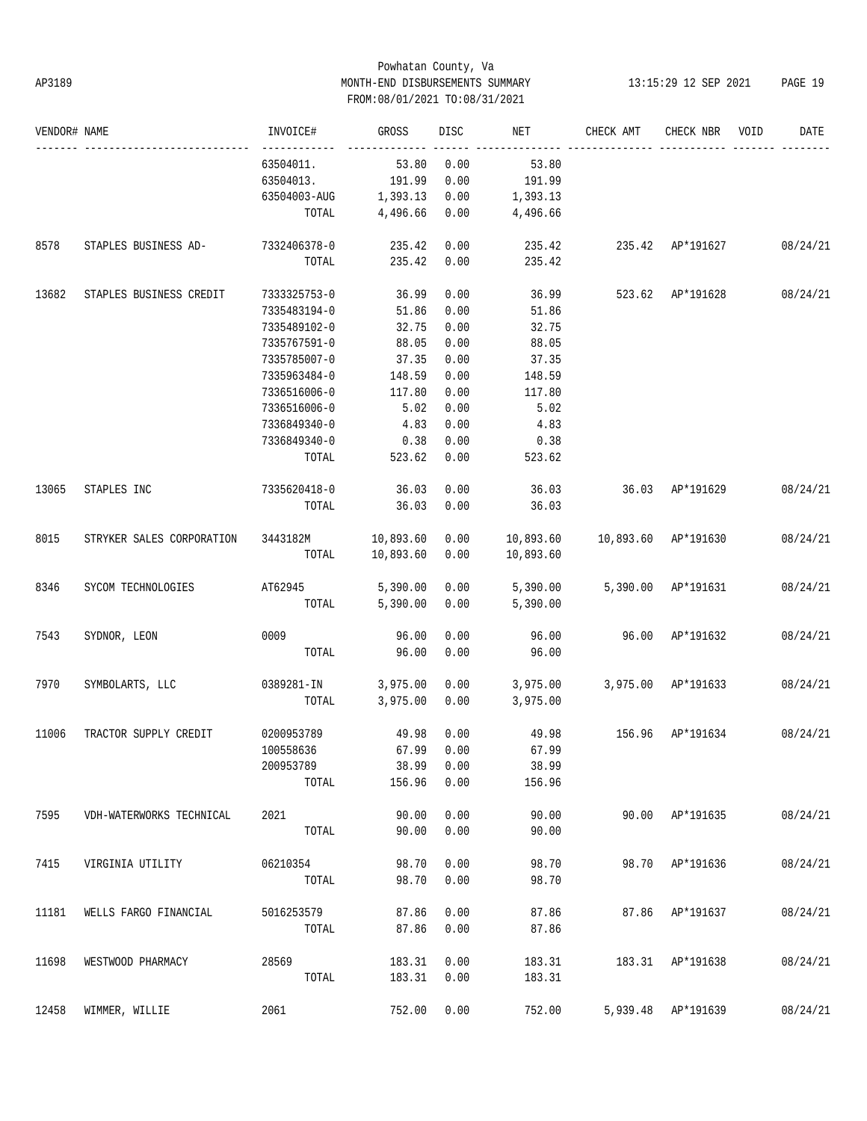## Powhatan County, Va AP3189 MONTH-END DISBURSEMENTS SUMMARY 13:15:29 12 SEP 2021 PAGE 19 FROM:08/01/2021 TO:08/31/2021

| VENDOR# NAME |                                                                                 | INVOICE#                                     | <b>GROSS</b>         |            | DISC NET                              | CHECK AMT               | CHECK NBR VOID     | DATE     |
|--------------|---------------------------------------------------------------------------------|----------------------------------------------|----------------------|------------|---------------------------------------|-------------------------|--------------------|----------|
|              |                                                                                 | ------------<br>63504011.                    | 53.80 0.00           |            | 53.80                                 |                         |                    |          |
|              |                                                                                 | 63504013.                                    | 191.99 0.00          |            | 191.99                                |                         |                    |          |
|              |                                                                                 | 63504003-AUG    1,393.13    0.00    1,393.13 |                      |            |                                       |                         |                    |          |
|              |                                                                                 |                                              |                      |            | TOTAL 4,496.66 0.00 4,496.66          |                         |                    |          |
| 8578         | STAPLES BUSINESS AD- 7332406378-0                                               |                                              |                      |            | $235.42$ 0.00 235.42 235.42 AP*191627 |                         |                    | 08/24/21 |
|              |                                                                                 | TOTAL                                        | 235.42 0.00          |            | 235.42                                |                         |                    |          |
| 13682        | STAPLES BUSINESS CREDIT                                                         | 7333325753-0                                 | 36.99                | 0.00       |                                       | 36.99 523.62 AP*191628  |                    | 08/24/21 |
|              |                                                                                 | 7335483194-0                                 | 51.86                | 0.00       | 51.86                                 |                         |                    |          |
|              |                                                                                 | 7335489102-0                                 | 32.75                | 0.00       | 32.75                                 |                         |                    |          |
|              |                                                                                 | 7335767591-0                                 | 88.05                | 0.00       | 88.05                                 |                         |                    |          |
|              |                                                                                 | 7335785007-0                                 | 37.35                | 0.00       | 37.35                                 |                         |                    |          |
|              |                                                                                 | 7335963484-0                                 | 148.59 0.00          |            | 148.59                                |                         |                    |          |
|              |                                                                                 | 7336516006-0                                 | 117.80               | 0.00       | 117.80                                |                         |                    |          |
|              |                                                                                 | 7336516006-0                                 | 5.02                 | 0.00       | 5.02                                  |                         |                    |          |
|              |                                                                                 | 7336849340-0                                 | 4.83 0.00            |            | 4.83                                  |                         |                    |          |
|              |                                                                                 | 7336849340-0                                 | $0.38$ 0.00          |            | 0.38                                  |                         |                    |          |
|              |                                                                                 | TOTAL                                        | $523.62$ 0.00        |            | 523.62                                |                         |                    |          |
| 13065        | STAPLES INC                                                                     | 7335620418-0                                 | 36.03                | 0.00       | 36.03 36.03 AP*191629                 |                         |                    | 08/24/21 |
|              |                                                                                 | TOTAL                                        | 36.03 0.00           |            | 36.03                                 |                         |                    |          |
| 8015         | STRYKER SALES CORPORATION 3443182M 10,893.60 0.00 10,893.60 10,893.60 AP*191630 |                                              |                      |            |                                       |                         |                    | 08/24/21 |
|              |                                                                                 |                                              | TOTAL 10,893.60 0.00 |            | 10,893.60                             |                         |                    |          |
| 8346         | SYCOM TECHNOLOGIES AT62945 5,390.00 0.00 5,390.00 5,390.00 AP*191631            |                                              |                      |            |                                       |                         |                    | 08/24/21 |
|              |                                                                                 |                                              |                      |            | TOTAL 5,390.00 0.00 5,390.00          |                         |                    |          |
| 7543         | SYDNOR, LEON                                                                    |                                              | 96.00                | 0.00       | 96.00                                 | 96.00 AP*191632         |                    | 08/24/21 |
|              |                                                                                 |                                              | TOTAL 96.00          | 0.00       | 96.00                                 |                         |                    |          |
| 7970         | SYMBOLARTS, LLC 6389281-IN 3,975.00 0.00 3,975.00 3,975.00 AP*191633            |                                              |                      |            |                                       |                         |                    | 08/24/21 |
|              |                                                                                 |                                              |                      |            | TOTAL 3,975.00 0.00 3,975.00          |                         |                    |          |
| 11006        | TRACTOR SUPPLY CREDIT                                                           | 0200953789                                   | 49.98 0.00           |            | 49.98 156.96 AP*191634                |                         |                    | 08/24/21 |
|              |                                                                                 | 100558636 67.99 0.00                         |                      |            | 67.99                                 |                         |                    |          |
|              |                                                                                 | 200953789                                    |                      | 38.99 0.00 | 38.99                                 |                         |                    |          |
|              |                                                                                 | TOTAL                                        | 156.96               | 0.00       | 156.96                                |                         |                    |          |
| 7595         | VDH-WATERWORKS TECHNICAL                                                        | 2021 2022                                    | 90.00                | 0.00       | 90.00                                 |                         | 90.00 AP*191635    | 08/24/21 |
|              |                                                                                 | TOTAL                                        | 90.00                | 0.00       | 90.00                                 |                         |                    |          |
| 7415         | VIRGINIA UTILITY                                                                | 06210354                                     | 98.70                | 0.00       | 98.70                                 |                         | 98.70 AP*191636    | 08/24/21 |
|              |                                                                                 | TOTAL                                        | 98.70                | 0.00       | 98.70                                 |                         |                    |          |
| 11181        | WELLS FARGO FINANCIAL                                                           | 5016253579                                   | 87.86                | 0.00       | 87.86                                 |                         | 87.86 AP*191637    | 08/24/21 |
|              |                                                                                 | TOTAL                                        | 87.86                | 0.00       | 87.86                                 |                         |                    |          |
| 11698        | WESTWOOD PHARMACY                                                               | 28569                                        | 183.31               | 0.00       |                                       | 183.31 183.31 AP*191638 |                    | 08/24/21 |
|              |                                                                                 | TOTAL                                        | 183.31 0.00          |            | 183.31                                |                         |                    |          |
| 12458        | WIMMER, WILLIE                                                                  | 2061                                         | 752.00               | 0.00       | 752.00                                |                         | 5,939.48 AP*191639 | 08/24/21 |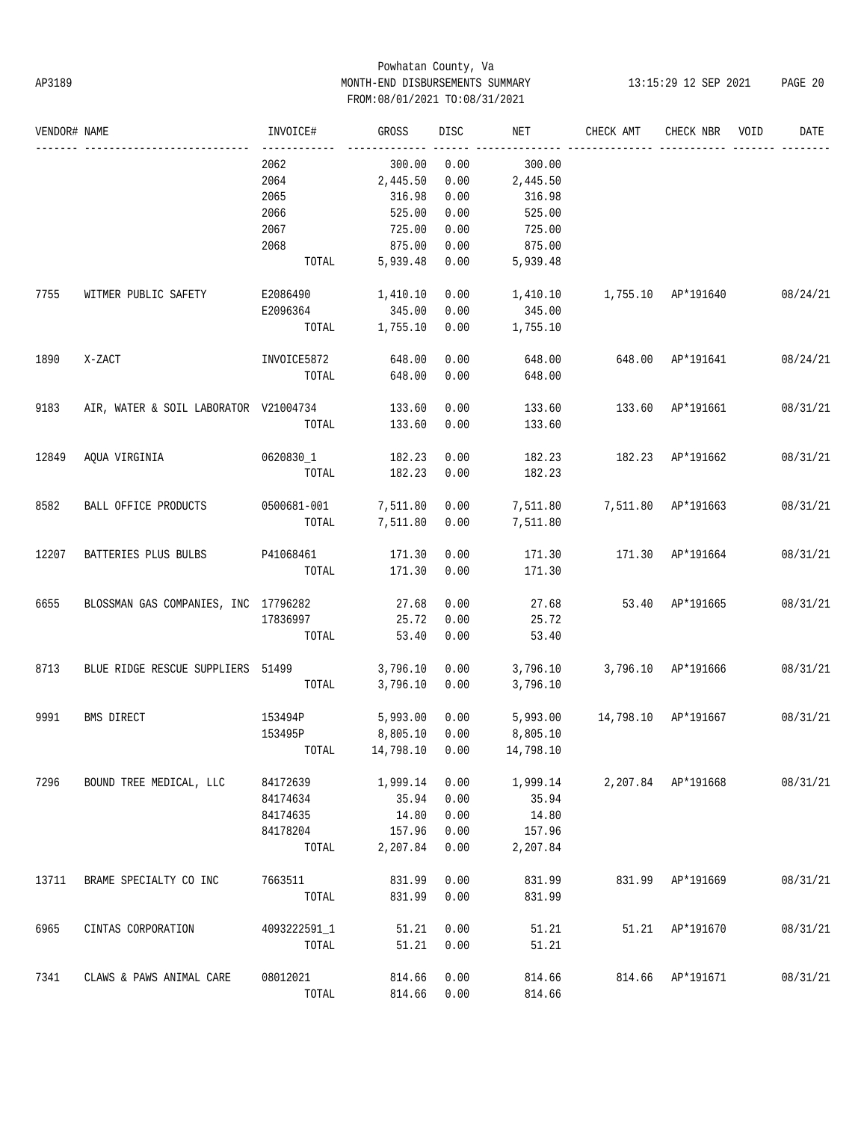# Powhatan County, Va AP3189 MONTH-END DISBURSEMENTS SUMMARY 13:15:29 12 SEP 2021 PAGE 20 FROM:08/01/2021 TO:08/31/2021

| VENDOR# NAME |                                              | INVOICE#              | GROSS    | DISC | NET                         | CHECK AMT           | CHECK NBR        | VOID | DATE     |
|--------------|----------------------------------------------|-----------------------|----------|------|-----------------------------|---------------------|------------------|------|----------|
|              |                                              | -------------<br>2062 | 300.00   | 0.00 | 300.00                      |                     |                  |      |          |
|              |                                              | 2064                  | 2,445.50 | 0.00 | 2,445.50                    |                     |                  |      |          |
|              |                                              | 2065                  | 316.98   | 0.00 | 316.98                      |                     |                  |      |          |
|              |                                              | 2066                  | 525.00   | 0.00 | 525.00                      |                     |                  |      |          |
|              |                                              | 2067                  | 725.00   | 0.00 | 725.00                      |                     |                  |      |          |
|              |                                              | 2068                  | 875.00   | 0.00 | 875.00                      |                     |                  |      |          |
|              |                                              | TOTAL                 | 5,939.48 | 0.00 | 5,939.48                    |                     |                  |      |          |
| 7755         | WITMER PUBLIC SAFETY                         | E2086490              | 1,410.10 | 0.00 | 1,410.10                    | 1,755.10 AP*191640  |                  |      | 08/24/21 |
|              |                                              | E2096364              | 345.00   | 0.00 | 345.00                      |                     |                  |      |          |
|              |                                              | TOTAL                 | 1,755.10 | 0.00 | 1,755.10                    |                     |                  |      |          |
| 1890         | X-ZACT                                       | INVOICE5872 648.00    |          | 0.00 | 648.00                      | 648.00 AP*191641    |                  |      | 08/24/21 |
|              |                                              | TOTAL                 | 648.00   | 0.00 | 648.00                      |                     |                  |      |          |
| 9183         | AIR, WATER & SOIL LABORATOR V21004734 133.60 |                       |          | 0.00 | 133.60                      | 133.60 AP*191661    |                  |      | 08/31/21 |
|              |                                              | TOTAL                 | 133.60   | 0.00 | 133.60                      |                     |                  |      |          |
| 12849        | AQUA VIRGINIA                                | 0620830_1             | 182.23   | 0.00 | 182.23                      | 182.23 AP*191662    |                  |      | 08/31/21 |
|              |                                              | TOTAL                 | 182.23   | 0.00 | 182.23                      |                     |                  |      |          |
| 8582         | BALL OFFICE PRODUCTS                         | 0500681-001 7,511.80  |          | 0.00 | 7,511.80 7,511.80 AP*191663 |                     |                  |      | 08/31/21 |
|              |                                              | TOTAL                 | 7,511.80 | 0.00 | 7,511.80                    |                     |                  |      |          |
| 12207        | BATTERIES PLUS BULBS                         | P41068461             | 171.30   | 0.00 | 171.30                      | 171.30 AP*191664    |                  |      | 08/31/21 |
|              |                                              | TOTAL                 | 171.30   | 0.00 | 171.30                      |                     |                  |      |          |
| 6655         | BLOSSMAN GAS COMPANIES, INC 17796282         |                       | 27.68    | 0.00 | 27.68                       | 53.40 AP*191665     |                  |      | 08/31/21 |
|              |                                              | 17836997              | 25.72    | 0.00 | 25.72                       |                     |                  |      |          |
|              |                                              | TOTAL                 | 53.40    | 0.00 | 53.40                       |                     |                  |      |          |
| 8713         | BLUE RIDGE RESCUE SUPPLIERS 51499            |                       | 3,796.10 | 0.00 | 3,796.10                    | 3,796.10 AP*191666  |                  |      | 08/31/21 |
|              |                                              | TOTAL                 | 3,796.10 | 0.00 | 3,796.10                    |                     |                  |      |          |
| 9991         | BMS DIRECT                                   | 153494P               | 5,993.00 | 0.00 | 5,993.00                    | 14,798.10 AP*191667 |                  |      | 08/31/21 |
|              |                                              | 153495P               | 8,805.10 | 0.00 | 8,805.10                    |                     |                  |      |          |
|              |                                              | TOTAL 14,798.10 0.00  |          |      | 14,798.10                   |                     |                  |      |          |
| 7296         | BOUND TREE MEDICAL, LLC                      | 84172639              | 1,999.14 | 0.00 | 1,999.14 2,207.84 AP*191668 |                     |                  |      | 08/31/21 |
|              |                                              | 84174634              | 35.94    | 0.00 | 35.94                       |                     |                  |      |          |
|              |                                              | 84174635              | 14.80    | 0.00 | 14.80                       |                     |                  |      |          |
|              |                                              | 84178204              | 157.96   | 0.00 | 157.96                      |                     |                  |      |          |
|              |                                              | TOTAL                 | 2,207.84 | 0.00 | 2,207.84                    |                     |                  |      |          |
| 13711        | BRAME SPECIALTY CO INC                       | 7663511               | 831.99   | 0.00 | 831.99                      |                     | 831.99 AP*191669 |      | 08/31/21 |
|              |                                              | TOTAL                 | 831.99   | 0.00 | 831.99                      |                     |                  |      |          |
| 6965         | CINTAS CORPORATION                           | 4093222591 1          | 51.21    | 0.00 | 51.21                       |                     | 51.21 AP*191670  |      | 08/31/21 |
|              |                                              | TOTAL                 | 51.21    | 0.00 | 51.21                       |                     |                  |      |          |
| 7341         | CLAWS & PAWS ANIMAL CARE                     | 08012021              | 814.66   | 0.00 | 814.66                      | 814.66 AP*191671    |                  |      | 08/31/21 |
|              |                                              | TOTAL                 | 814.66   | 0.00 | 814.66                      |                     |                  |      |          |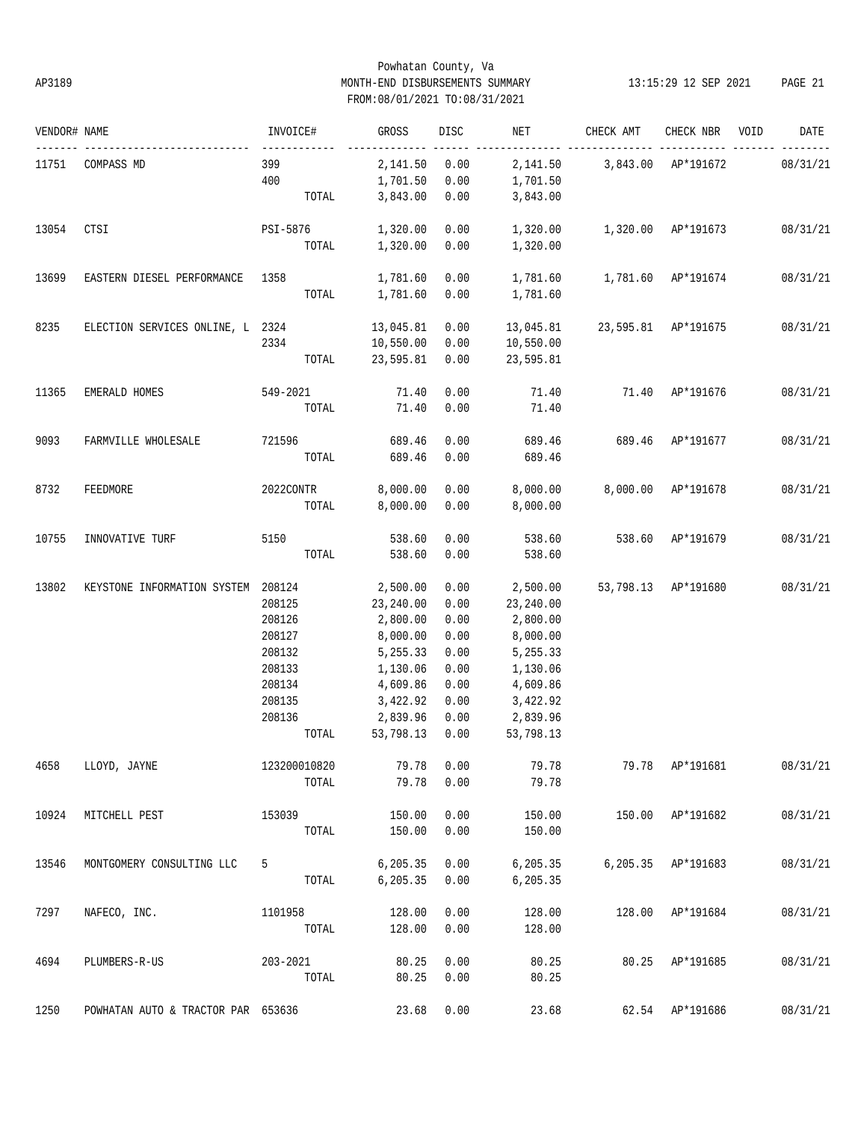## Powhatan County, Va AP3189 MONTH-END DISBURSEMENTS SUMMARY 13:15:29 12 SEP 2021 PAGE 21 FROM:08/01/2021 TO:08/31/2021

| VENDOR# NAME |                                    | INVOICE#            | GROSS          | DISC | NET       | CHECK AMT                       | CHECK NBR          | VOID | DATE     |
|--------------|------------------------------------|---------------------|----------------|------|-----------|---------------------------------|--------------------|------|----------|
|              | 11751 COMPASS MD                   | ------------<br>399 | 2,141.50       | 0.00 | 2,141.50  | 3,843.00 AP*191672              |                    |      | 08/31/21 |
|              |                                    | 400                 | 1,701.50       | 0.00 | 1,701.50  |                                 |                    |      |          |
|              |                                    | TOTAL               | 3,843.00       | 0.00 | 3,843.00  |                                 |                    |      |          |
| 13054        | CTSI                               | PSI-5876            | 1,320.00       | 0.00 | 1,320.00  | 1,320.00 AP*191673              |                    |      | 08/31/21 |
|              |                                    | TOTAL               | 1,320.00       | 0.00 | 1,320.00  |                                 |                    |      |          |
| 13699        | EASTERN DIESEL PERFORMANCE 1358    |                     | 1,781.60       | 0.00 |           | 1,781.60   1,781.60   AP*191674 |                    |      | 08/31/21 |
|              |                                    | TOTAL               | 1,781.60       | 0.00 | 1,781.60  |                                 |                    |      |          |
| 8235         | ELECTION SERVICES ONLINE, L 2324   |                     | 13,045.81      | 0.00 | 13,045.81 | 23,595.81 AP*191675             |                    |      | 08/31/21 |
|              |                                    | 2334                | 10,550.00      | 0.00 | 10,550.00 |                                 |                    |      |          |
|              |                                    | TOTAL               | 23,595.81      | 0.00 | 23,595.81 |                                 |                    |      |          |
| 11365        | EMERALD HOMES                      | 549-2021            | 71.40          | 0.00 |           | 71.40 71.40 AP*191676           |                    |      | 08/31/21 |
|              |                                    | TOTAL               | 71.40          | 0.00 | 71.40     |                                 |                    |      |          |
| 9093         | FARMVILLE WHOLESALE                | 721596 689.46       |                | 0.00 | 689.46    | 689.46 AP*191677                |                    |      | 08/31/21 |
|              |                                    | TOTAL               | 689.46         | 0.00 | 689.46    |                                 |                    |      |          |
| 8732         | FEEDMORE                           | 2022CONTR           | 8,000.00       | 0.00 | 8,000.00  |                                 | 8,000.00 AP*191678 |      | 08/31/21 |
|              |                                    | TOTAL               | 8,000.00       | 0.00 | 8,000.00  |                                 |                    |      |          |
| 10755        | INNOVATIVE TURF                    | 5150                | 538.60         | 0.00 | 538.60    | 538.60 AP*191679                |                    |      | 08/31/21 |
|              |                                    |                     | TOTAL 538.60   | 0.00 | 538.60    |                                 |                    |      |          |
| 13802        | KEYSTONE INFORMATION SYSTEM 208124 |                     | 2,500.00       | 0.00 | 2,500.00  | 53,798.13 AP*191680             |                    |      | 08/31/21 |
|              |                                    | 208125              | 23,240.00      | 0.00 | 23,240.00 |                                 |                    |      |          |
|              |                                    | 208126              | 2,800.00       | 0.00 | 2,800.00  |                                 |                    |      |          |
|              |                                    | 208127              | 8,000.00       | 0.00 | 8,000.00  |                                 |                    |      |          |
|              |                                    | 208132              | 5,255.33       | 0.00 | 5,255.33  |                                 |                    |      |          |
|              |                                    | 208133              | 1,130.06       | 0.00 | 1,130.06  |                                 |                    |      |          |
|              |                                    | 208134              | 4,609.86       | 0.00 | 4,609.86  |                                 |                    |      |          |
|              |                                    | 208135              | 3,422.92       | 0.00 | 3,422.92  |                                 |                    |      |          |
|              |                                    | 208136              | 2,839.96       | 0.00 | 2,839.96  |                                 |                    |      |          |
|              |                                    | TOTAL               | 53,798.13 0.00 |      | 53,798.13 |                                 |                    |      |          |
| 4658         | LLOYD, JAYNE                       | 123200010820        | 79.78          | 0.00 | 79.78     |                                 | 79.78 AP*191681    |      | 08/31/21 |
|              |                                    | TOTAL               | 79.78          | 0.00 | 79.78     |                                 |                    |      |          |
| 10924        | MITCHELL PEST                      | 153039              | 150.00         | 0.00 | 150.00    |                                 | 150.00 AP*191682   |      | 08/31/21 |
|              |                                    | TOTAL               | 150.00         | 0.00 | 150.00    |                                 |                    |      |          |
| 13546        | MONTGOMERY CONSULTING LLC          | 5                   | 6, 205.35      | 0.00 | 6,205.35  |                                 | 6,205.35 AP*191683 |      | 08/31/21 |
|              |                                    | TOTAL               | 6, 205.35      | 0.00 | 6, 205.35 |                                 |                    |      |          |
| 7297         | NAFECO, INC.                       | 1101958             | 128.00         | 0.00 | 128.00    |                                 | 128.00 AP*191684   |      | 08/31/21 |
|              |                                    | TOTAL               | 128.00         | 0.00 | 128.00    |                                 |                    |      |          |
| 4694         | PLUMBERS-R-US                      | 203-2021            | 80.25          | 0.00 | 80.25     | 80.25                           | AP*191685          |      | 08/31/21 |
|              |                                    | TOTAL               | 80.25          | 0.00 | 80.25     |                                 |                    |      |          |
| 1250         | POWHATAN AUTO & TRACTOR PAR 653636 |                     | 23.68          | 0.00 | 23.68     | 62.54                           | AP*191686          |      | 08/31/21 |